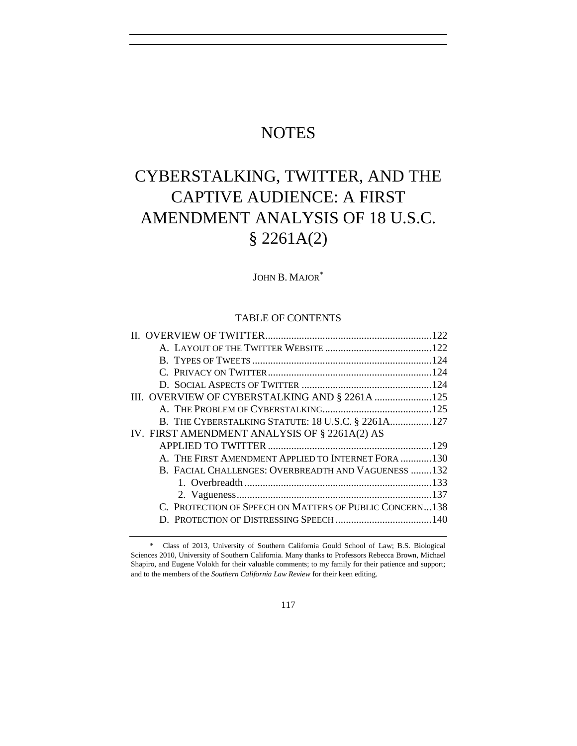## **NOTES**

# CYBERSTALKING, TWITTER, AND THE CAPTIVE AUDIENCE: A FIRST AMENDMENT ANALYSIS OF 18 U.S.C. § 2261A(2)

JOHN B. MAJOR\*

## TABLE OF CONTENTS

| III. OVERVIEW OF CYBERSTALKING AND § 2261A 125          |  |
|---------------------------------------------------------|--|
|                                                         |  |
| B. THE CYBERSTALKING STATUTE: 18 U.S.C. § 2261A127      |  |
| IV. FIRST AMENDMENT ANALYSIS OF § 2261A(2) AS           |  |
|                                                         |  |
| A. THE FIRST AMENDMENT APPLIED TO INTERNET FORA 130     |  |
| B. FACIAL CHALLENGES: OVERBREADTH AND VAGUENESS 132     |  |
|                                                         |  |
|                                                         |  |
| C. PROTECTION OF SPEECH ON MATTERS OF PUBLIC CONCERN138 |  |
|                                                         |  |
|                                                         |  |

<sup>\*</sup> Class of 2013, University of Southern California Gould School of Law; B.S. Biological Sciences 2010, University of Southern California. Many thanks to Professors Rebecca Brown, Michael Shapiro, and Eugene Volokh for their valuable comments; to my family for their patience and support; and to the members of the *Southern California Law Review* for their keen editing.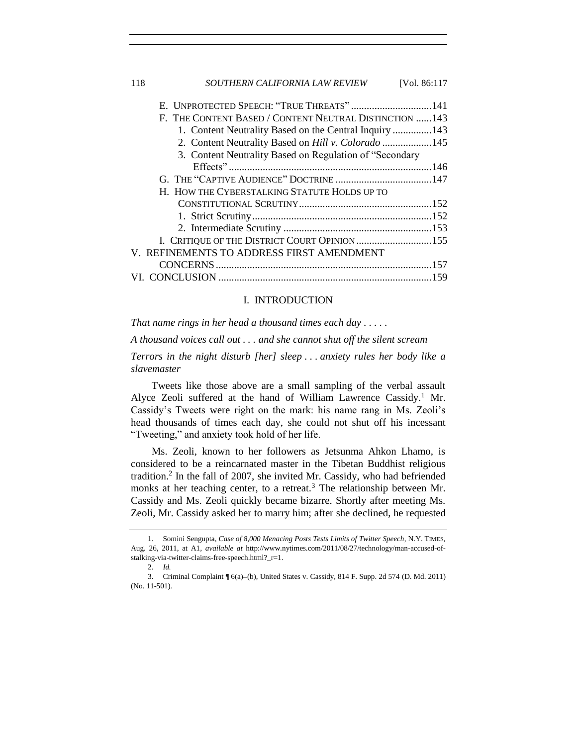### I. INTRODUCTION

*That name rings in her head a thousand times each day . . . . .*

*A thousand voices call out . . . and she cannot shut off the silent scream*

*Terrors in the night disturb [her] sleep . . . anxiety rules her body like a slavemaster*

Tweets like those above are a small sampling of the verbal assault Alyce Zeoli suffered at the hand of William Lawrence Cassidy.<sup>1</sup> Mr. Cassidy's Tweets were right on the mark: his name rang in Ms. Zeoli's head thousands of times each day, she could not shut off his incessant "Tweeting," and anxiety took hold of her life.

<span id="page-1-1"></span><span id="page-1-0"></span>Ms. Zeoli, known to her followers as Jetsunma Ahkon Lhamo, is considered to be a reincarnated master in the Tibetan Buddhist religious tradition.<sup>2</sup> In the fall of 2007, she invited Mr. Cassidy, who had befriended monks at her teaching center, to a retreat.<sup>3</sup> The relationship between Mr. Cassidy and Ms. Zeoli quickly became bizarre. Shortly after meeting Ms. Zeoli, Mr. Cassidy asked her to marry him; after she declined, he requested

<sup>1.</sup> Somini Sengupta, *Case of 8,000 Menacing Posts Tests Limits of Twitter Speech*, N.Y. TIMES, Aug. 26, 2011, at A1, *available at* http://www.nytimes.com/2011/08/27/technology/man-accused-ofstalking-via-twitter-claims-free-speech.html?\_r=1.

<sup>2.</sup> *Id.*

<sup>3.</sup> Criminal Complaint  $\sqrt{6(a)}$  (b), United States v. Cassidy, 814 F. Supp. 2d 574 (D. Md. 2011) (No. 11-501).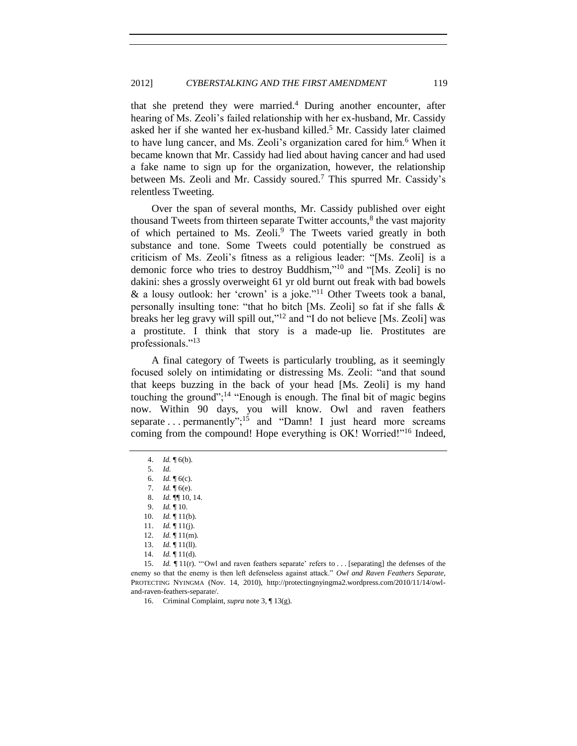that she pretend they were married.<sup>4</sup> During another encounter, after hearing of Ms. Zeoli's failed relationship with her ex-husband, Mr. Cassidy asked her if she wanted her ex-husband killed.<sup>5</sup> Mr. Cassidy later claimed to have lung cancer, and Ms. Zeoli's organization cared for him.<sup>6</sup> When it became known that Mr. Cassidy had lied about having cancer and had used a fake name to sign up for the organization, however, the relationship between Ms. Zeoli and Mr. Cassidy soured.<sup>7</sup> This spurred Mr. Cassidy's relentless Tweeting.

Over the span of several months, Mr. Cassidy published over eight thousand Tweets from thirteen separate Twitter accounts,<sup>8</sup> the vast majority of which pertained to Ms. Zeoli.<sup>9</sup> The Tweets varied greatly in both substance and tone. Some Tweets could potentially be construed as criticism of Ms. Zeoli's fitness as a religious leader: "[Ms. Zeoli] is a demonic force who tries to destroy Buddhism," <sup>10</sup> and "[Ms. Zeoli] is no dakini: shes a grossly overweight 61 yr old burnt out freak with bad bowels & a lousy outlook: her 'crown' is a joke."<sup>11</sup> Other Tweets took a banal, personally insulting tone: "that ho bitch [Ms. Zeoli] so fat if she falls & breaks her leg gravy will spill out,"<sup>12</sup> and "I do not believe [Ms. Zeoli] was a prostitute. I think that story is a made-up lie. Prostitutes are professionals."<sup>13</sup>

<span id="page-2-1"></span>A final category of Tweets is particularly troubling, as it seemingly focused solely on intimidating or distressing Ms. Zeoli: "and that sound that keeps buzzing in the back of your head [Ms. Zeoli] is my hand touching the ground";<sup>14</sup> "Enough is enough. The final bit of magic begins now. Within 90 days, you will know. Owl and raven feathers separate  $\ldots$  permanently";<sup>15</sup> and "Damn! I just heard more screams coming from the compound! Hope everything is OK! Worried!"<sup>16</sup> Indeed,

16. Criminal Complaint, *supra* not[e 3,](#page-1-0) ¶ 13(g).

<span id="page-2-0"></span>

<sup>4.</sup> *Id.* ¶ 6(b).

<span id="page-2-2"></span><sup>5.</sup> *Id.*

<sup>6.</sup> *Id.* ¶ 6(c).

<sup>7.</sup> *Id.* ¶ 6(e).

<sup>8.</sup> *Id.* ¶¶ 10, 14.

<sup>9.</sup> *Id.* ¶ 10.

<sup>10.</sup> *Id.* ¶ 11(b).

<sup>11.</sup> *Id.* ¶ 11(j).

<sup>12.</sup> *Id.* ¶ 11(m).

<sup>13.</sup> *Id.* ¶ 11(ll).

<sup>14.</sup> *Id.* ¶ 11(d).

<sup>15.</sup> *Id.*  $\llbracket 11(r)$ . "'Owl and raven feathers separate' refers to . . . [separating] the defenses of the enemy so that the enemy is then left defenseless against attack." *Owl and Raven Feathers Separate*, PROTECTING NYINGMA (Nov. 14, 2010), http://protectingnyingma2.wordpress.com/2010/11/14/owland-raven-feathers-separate/.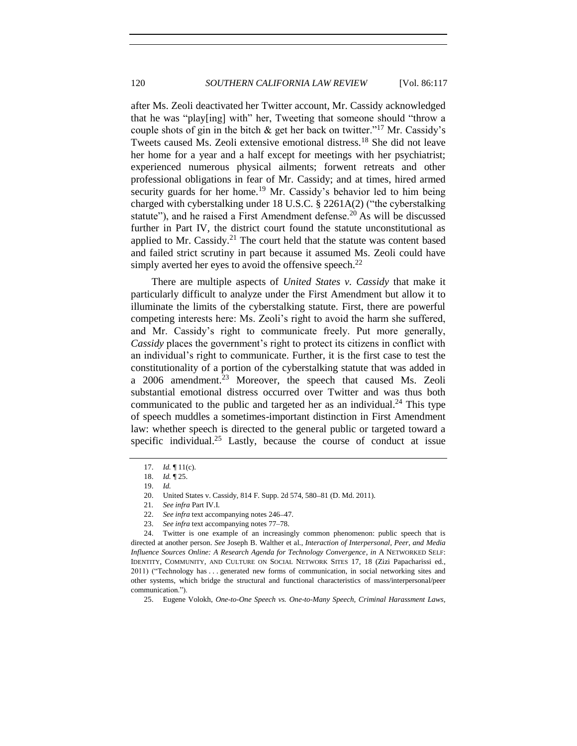after Ms. Zeoli deactivated her Twitter account, Mr. Cassidy acknowledged that he was "play[ing] with" her, Tweeting that someone should "throw a couple shots of gin in the bitch  $\&$  get her back on twitter."<sup>17</sup> Mr. Cassidy's Tweets caused Ms. Zeoli extensive emotional distress.<sup>18</sup> She did not leave her home for a year and a half except for meetings with her psychiatrist; experienced numerous physical ailments; forwent retreats and other professional obligations in fear of Mr. Cassidy; and at times, hired armed security guards for her home.<sup>19</sup> Mr. Cassidy's behavior led to him being charged with cyberstalking under 18 U.S.C. § 2261A(2) ("the cyberstalking statute"), and he raised a First Amendment defense.<sup>20</sup> As will be discussed further in Part IV, the district court found the statute unconstitutional as applied to Mr. Cassidy.<sup>21</sup> The court held that the statute was content based and failed strict scrutiny in part because it assumed Ms. Zeoli could have simply averted her eyes to avoid the offensive speech. $^{22}$ 

<span id="page-3-2"></span>There are multiple aspects of *United States v. Cassidy* that make it particularly difficult to analyze under the First Amendment but allow it to illuminate the limits of the cyberstalking statute. First, there are powerful competing interests here: Ms. Zeoli's right to avoid the harm she suffered, and Mr. Cassidy's right to communicate freely. Put more generally, *Cassidy* places the government's right to protect its citizens in conflict with an individual's right to communicate. Further, it is the first case to test the constitutionality of a portion of the cyberstalking statute that was added in a  $2006$  amendment.<sup>23</sup> Moreover, the speech that caused Ms. Zeoli substantial emotional distress occurred over Twitter and was thus both communicated to the public and targeted her as an individual.<sup>24</sup> This type of speech muddles a sometimes-important distinction in First Amendment law: whether speech is directed to the general public or targeted toward a specific individual.<sup>25</sup> Lastly, because the course of conduct at issue

<span id="page-3-1"></span><span id="page-3-0"></span><sup>17.</sup> *Id.* ¶ 11(c).

<sup>18.</sup> *Id.* ¶ 25.

<sup>19.</sup> *Id.*

<sup>20.</sup> United States v. Cassidy, 814 F. Supp. 2d 574, 580-81 (D. Md. 2011).

<sup>21</sup>*. See infra* Part IV.I.

<sup>22.</sup> *See infra* text accompanying notes [246](#page-35-2)–[47.](#page-35-3)

<sup>23.</sup> *See infra* text accompanying note[s 77](#page-11-0)[–78.](#page-11-1)

<sup>24.</sup> Twitter is one example of an increasingly common phenomenon: public speech that is directed at another person. *See* Joseph B. Walther et al., *Interaction of Interpersonal, Peer, and Media Influence Sources Online: A Research Agenda for Technology Convergence*, *in* A NETWORKED SELF: IDENTITY, COMMUNITY, AND CULTURE ON SOCIAL NETWORK SITES 17, 18 (Zizi Papacharissi ed., 2011) ("Technology has . . . generated new forms of communication, in social networking sites and other systems, which bridge the structural and functional characteristics of mass/interpersonal/peer communication.").

<sup>25.</sup> Eugene Volokh, *One-to-One Speech vs. One-to-Many Speech, Criminal Harassment Laws,*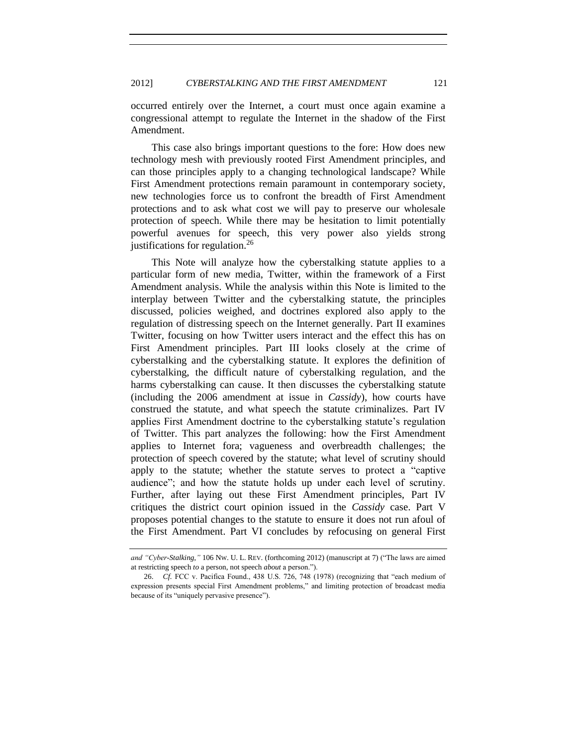occurred entirely over the Internet, a court must once again examine a congressional attempt to regulate the Internet in the shadow of the First Amendment.

This case also brings important questions to the fore: How does new technology mesh with previously rooted First Amendment principles, and can those principles apply to a changing technological landscape? While First Amendment protections remain paramount in contemporary society, new technologies force us to confront the breadth of First Amendment protections and to ask what cost we will pay to preserve our wholesale protection of speech. While there may be hesitation to limit potentially powerful avenues for speech, this very power also yields strong justifications for regulation.<sup>26</sup>

This Note will analyze how the cyberstalking statute applies to a particular form of new media, Twitter, within the framework of a First Amendment analysis. While the analysis within this Note is limited to the interplay between Twitter and the cyberstalking statute, the principles discussed, policies weighed, and doctrines explored also apply to the regulation of distressing speech on the Internet generally. Part II examines Twitter, focusing on how Twitter users interact and the effect this has on First Amendment principles. Part III looks closely at the crime of cyberstalking and the cyberstalking statute. It explores the definition of cyberstalking, the difficult nature of cyberstalking regulation, and the harms cyberstalking can cause. It then discusses the cyberstalking statute (including the 2006 amendment at issue in *Cassidy*), how courts have construed the statute, and what speech the statute criminalizes. Part IV applies First Amendment doctrine to the cyberstalking statute's regulation of Twitter. This part analyzes the following: how the First Amendment applies to Internet fora; vagueness and overbreadth challenges; the protection of speech covered by the statute; what level of scrutiny should apply to the statute; whether the statute serves to protect a "captive audience"; and how the statute holds up under each level of scrutiny. Further, after laying out these First Amendment principles, Part IV critiques the district court opinion issued in the *Cassidy* case. Part V proposes potential changes to the statute to ensure it does not run afoul of the First Amendment. Part VI concludes by refocusing on general First

*and "Cyber-Stalking*,*"* 106 NW. U. L. REV. (forthcoming 2012) (manuscript at 7) ("The laws are aimed at restricting speech *to* a person, not speech *about* a person.").

<sup>26.</sup> *Cf.* FCC v. Pacifica Found., 438 U.S. 726, 748 (1978) (recognizing that "each medium of expression presents special First Amendment problems," and limiting protection of broadcast media because of its "uniquely pervasive presence").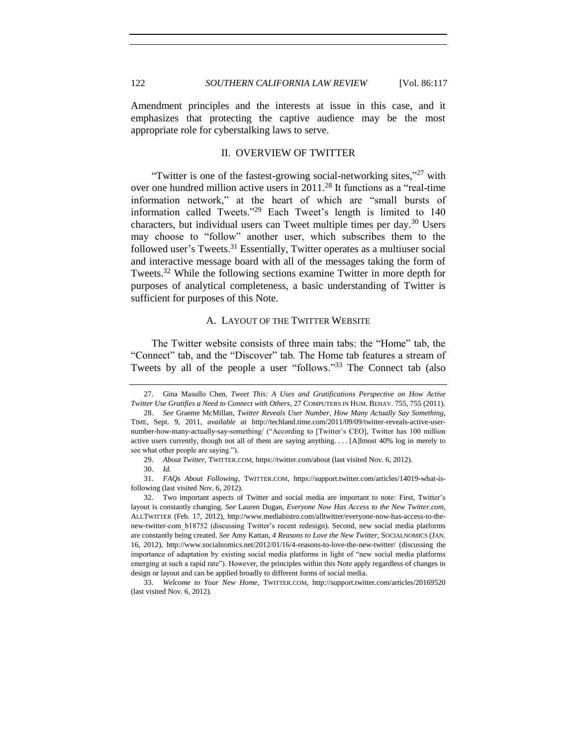<span id="page-5-0"></span>Amendment principles and the interests at issue in this case, and it emphasizes that protecting the captive audience may be the most appropriate role for cyberstalking laws to serve.

## <span id="page-5-2"></span>II. OVERVIEW OF TWITTER

"Twitter is one of the fastest-growing social-networking sites,"<sup>27</sup> with over one hundred million active users in  $2011<sup>28</sup>$  It functions as a "real-time" information network," at the heart of which are "small bursts of information called Tweets."<sup>29</sup> Each Tweet's length is limited to 140 characters, but individual users can Tweet multiple times per day.<sup>30</sup> Users may choose to "follow" another user, which subscribes them to the followed user's Tweets.<sup>31</sup> Essentially, Twitter operates as a multiuser social and interactive message board with all of the messages taking the form of Tweets.<sup>32</sup> While the following sections examine Twitter in more depth for purposes of analytical completeness, a basic understanding of Twitter is sufficient for purposes of this Note.

## A. LAYOUT OF THE TWITTER WEBSITE

<span id="page-5-1"></span>The Twitter website consists of three main tabs: the "Home" tab, the "Connect" tab, and the "Discover" tab. The Home tab features a stream of Tweets by all of the people a user "follows."<sup>33</sup> The Connect tab (also

31. *FAQs About Following*, TWITTER.COM, https://support.twitter.com/articles/14019-what-isfollowing (last visited Nov. 6, 2012).

32. Two important aspects of Twitter and social media are important to note: First, Twitter's layout is constantly changing. *See* Lauren Dugan, *Everyone Now Has Access to the New Twitter.com*, ALLTWITTER (Feb. 17, 2012), http://www.mediabistro.com/alltwitter/everyone-now-has-access-to-thenew-twitter-com\_b18752 (discussing Twitter's recent redesign). Second, new social media platforms are constantly being created. *See* Amy Kattan, *4 Reasons to Love the New Twitter*, SOCIALNOMICS (JAN. 16, 2012), http://www.socialnomics.net/2012/01/16/4-reasons-to-love-the-new-twitter/ (discussing the importance of adaptation by existing social media platforms in light of "new social media platforms emerging at such a rapid rate"). However, the principles within this Note apply regardless of changes in design or layout and can be applied broadly to different forms of social media.

33. *Welcome to Your New Home*, TWITTER.COM, http://support.twitter.com/articles/20169520 (last visited Nov. 6, 2012).

<sup>27.</sup> Gina Masullo Chen, *Tweet This: A Uses and Gratifications Perspective on How Active Twitter Use Gratifies a Need to Connect with Others*, 27 COMPUTERS IN HUM. BEHAV. 755, 755 (2011).

<sup>28.</sup> *See* Graeme McMillan, *Twitter Reveals User Number, How Many Actually Say Something*, TIME, Sept. 9, 2011, *available at* http://techland.time.com/2011/09/09/twitter-reveals-active-usernumber-how-many-actually-say-something/ ("According to [Twitter's CEO], Twitter has 100 million active users currently, though not all of them are saying anything. . . . [A]lmost 40% log in merely to see what other people are saying.").

<sup>29.</sup> *About Twitter*, TWITTER.COM, https://twitter.com/about (last visited Nov. 6, 2012).

<sup>30.</sup> *Id.*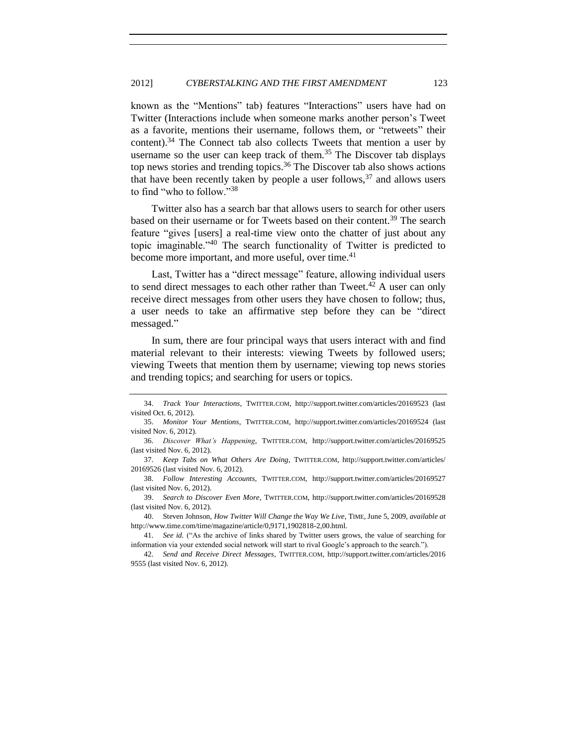known as the "Mentions" tab) features "Interactions" users have had on Twitter (Interactions include when someone marks another person's Tweet as a favorite, mentions their username, follows them, or "retweets" their content).<sup>34</sup> The Connect tab also collects Tweets that mention a user by username so the user can keep track of them.<sup>35</sup> The Discover tab displays top news stories and trending topics.<sup>36</sup> The Discover tab also shows actions that have been recently taken by people a user follows,  $37$  and allows users to find "who to follow."<sup>38</sup>

Twitter also has a search bar that allows users to search for other users based on their username or for Tweets based on their content.<sup>39</sup> The search feature "gives [users] a real-time view onto the chatter of just about any topic imaginable."<sup>40</sup> The search functionality of Twitter is predicted to become more important, and more useful, over time.<sup>41</sup>

Last, Twitter has a "direct message" feature, allowing individual users to send direct messages to each other rather than Tweet.<sup>42</sup> A user can only receive direct messages from other users they have chosen to follow; thus, a user needs to take an affirmative step before they can be "direct messaged."

In sum, there are four principal ways that users interact with and find material relevant to their interests: viewing Tweets by followed users; viewing Tweets that mention them by username; viewing top news stories and trending topics; and searching for users or topics.

<sup>34.</sup> *Track Your Interactions*, TWITTER.COM, http://support.twitter.com/articles/20169523 (last visited Oct. 6, 2012).

<sup>35.</sup> *Monitor Your Mentions*, TWITTER.COM, http://support.twitter.com/articles/20169524 (last visited Nov. 6, 2012).

<sup>36.</sup> *Discover What's Happening*, TWITTER.COM, http://support.twitter.com/articles/20169525 (last visited Nov. 6, 2012).

<sup>37.</sup> *Keep Tabs on What Others Are Doing*, TWITTER.COM, http://support.twitter.com/articles/ 20169526 (last visited Nov. 6, 2012).

<sup>38.</sup> *Follow Interesting Accounts*, TWITTER.COM, http://support.twitter.com/articles/20169527 (last visited Nov. 6, 2012).

<sup>39.</sup> *Search to Discover Even More*, TWITTER.COM, http://support.twitter.com/articles/20169528 (last visited Nov. 6, 2012).

<sup>40.</sup> Steven Johnson, *How Twitter Will Change the Way We Live*, TIME, June 5, 2009, *available at*  http://www.time.com/time/magazine/article/0,9171,1902818-2,00.html.

<sup>41.</sup> *See id.* ("As the archive of links shared by Twitter users grows, the value of searching for information via your extended social network will start to rival Google's approach to the search.").

<sup>42.</sup> *Send and Receive Direct Messages*, TWITTER.COM, http://support.twitter.com/articles/2016 9555 (last visited Nov. 6, 2012).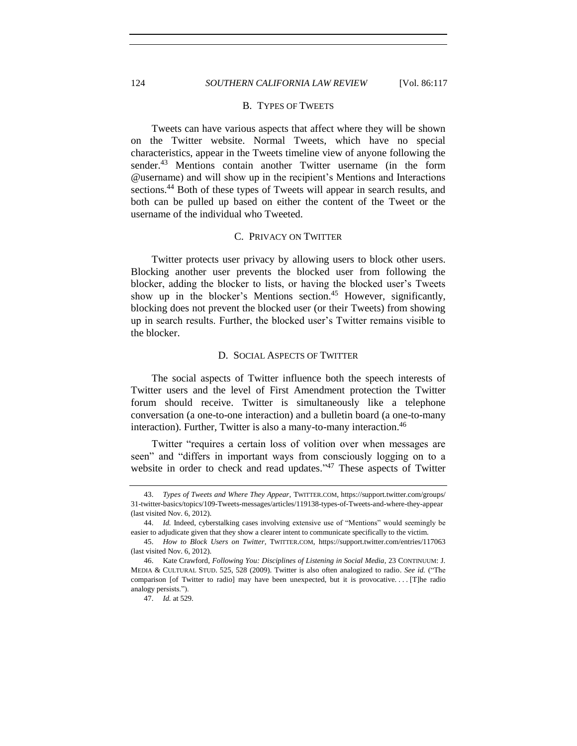## 124 *SOUTHERN CALIFORNIA LAW REVIEW* [Vol. 86:117

#### B. TYPES OF TWEETS

Tweets can have various aspects that affect where they will be shown on the Twitter website. Normal Tweets, which have no special characteristics, appear in the Tweets timeline view of anyone following the sender.<sup>43</sup> Mentions contain another Twitter username (in the form @username) and will show up in the recipient's Mentions and Interactions sections.<sup>44</sup> Both of these types of Tweets will appear in search results, and both can be pulled up based on either the content of the Tweet or the username of the individual who Tweeted.

## C. PRIVACY ON TWITTER

<span id="page-7-1"></span>Twitter protects user privacy by allowing users to block other users. Blocking another user prevents the blocked user from following the blocker, adding the blocker to lists, or having the blocked user's Tweets show up in the blocker's Mentions section.<sup>45</sup> However, significantly, blocking does not prevent the blocked user (or their Tweets) from showing up in search results. Further, the blocked user's Twitter remains visible to the blocker.

#### D. SOCIAL ASPECTS OF TWITTER

<span id="page-7-2"></span>The social aspects of Twitter influence both the speech interests of Twitter users and the level of First Amendment protection the Twitter forum should receive. Twitter is simultaneously like a telephone conversation (a one-to-one interaction) and a bulletin board (a one-to-many interaction). Further, Twitter is also a many-to-many interaction.<sup>46</sup>

Twitter "requires a certain loss of volition over when messages are seen" and "differs in important ways from consciously logging on to a website in order to check and read updates."<sup>47</sup> These aspects of Twitter

<span id="page-7-0"></span>

<sup>43.</sup> *Types of Tweets and Where They Appear*, TWITTER.COM, https://support.twitter.com/groups/ 31-twitter-basics/topics/109-Tweets-messages/articles/119138-types-of-Tweets-and-where-they-appear (last visited Nov. 6, 2012).

<sup>44.</sup> *Id.* Indeed, cyberstalking cases involving extensive use of "Mentions" would seemingly be easier to adjudicate given that they show a clearer intent to communicate specifically to the victim.

<sup>45.</sup> *How to Block Users on Twitter*, TWITTER.COM, https://support.twitter.com/entries/117063 (last visited Nov. 6, 2012).

<sup>46.</sup> Kate Crawford, *Following You: Disciplines of Listening in Social Media*, 23 CONTINUUM: J. MEDIA & CULTURAL STUD. 525, 528 (2009). Twitter is also often analogized to radio. *See id.* ("The comparison [of Twitter to radio] may have been unexpected, but it is provocative.... [T]he radio analogy persists.").

<sup>47.</sup> *Id.* at 529.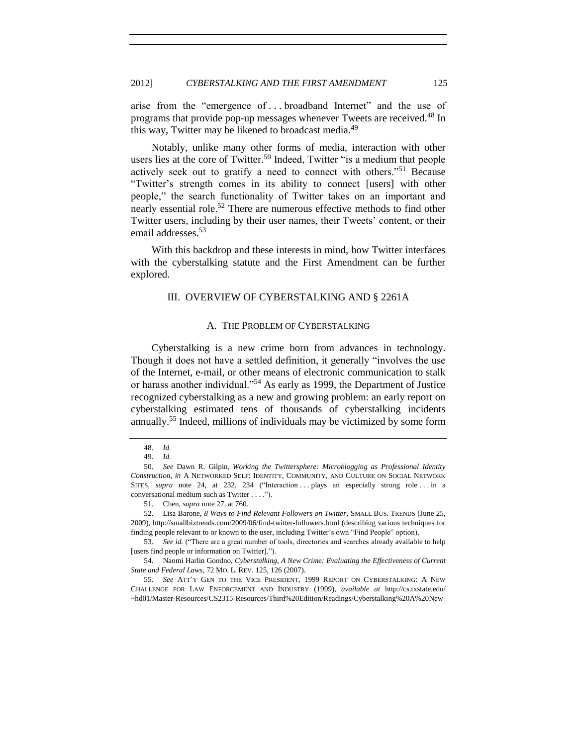arise from the "emergence of . . . broadband Internet" and the use of programs that provide pop-up messages whenever Tweets are received.<sup>48</sup> In this way, Twitter may be likened to broadcast media.<sup>49</sup>

<span id="page-8-4"></span>Notably, unlike many other forms of media, interaction with other users lies at the core of Twitter.<sup>50</sup> Indeed, Twitter "is a medium that people actively seek out to gratify a need to connect with others."<sup>51</sup> Because "Twitter's strength comes in its ability to connect [users] with other people," the search functionality of Twitter takes on an important and nearly essential role.<sup>52</sup> There are numerous effective methods to find other Twitter users, including by their user names, their Tweets' content, or their email addresses. 53

<span id="page-8-5"></span><span id="page-8-0"></span>With this backdrop and these interests in mind, how Twitter interfaces with the cyberstalking statute and the First Amendment can be further explored.

## III. OVERVIEW OF CYBERSTALKING AND § 2261A

## <span id="page-8-2"></span>A. THE PROBLEM OF CYBERSTALKING

<span id="page-8-1"></span>Cyberstalking is a new crime born from advances in technology. Though it does not have a settled definition, it generally "involves the use of the Internet, e-mail, or other means of electronic communication to stalk or harass another individual."<sup>54</sup> As early as 1999, the Department of Justice recognized cyberstalking as a new and growing problem: an early report on cyberstalking estimated tens of thousands of cyberstalking incidents annually.<sup>55</sup> Indeed, millions of individuals may be victimized by some form

<span id="page-8-3"></span><sup>48.</sup> *Id.*

<sup>49.</sup> *Id.*

<sup>50.</sup> *See* Dawn R. Gilpin, *Working the Twittersphere: Microblogging as Professional Identity Construction*, *in* A NETWORKED SELF: IDENTITY, COMMUNITY, AND CULTURE ON SOCIAL NETWORK SITES, *supra* note [24,](#page-3-0) at 232, 234 ("Interaction ... plays an especially strong role ... in a conversational medium such as Twitter . . . .").

<sup>51.</sup> Chen, *supra* not[e 27,](#page-5-2) at 760.

<sup>52.</sup> Lisa Barone, *8 Ways to Find Relevant Followers on Twitter*, SMALL BUS. TRENDS (June 25, 2009), http://smallbiztrends.com/2009/06/find-twitter-followers.html (describing various techniques for finding people relevant to or known to the user, including Twitter's own "Find People" option).

<sup>53.</sup> *See id.* ("There are a great number of tools, directories and searches already available to help [users find people or information on Twitter].").

<sup>54.</sup> Naomi Harlin Goodno, *Cyberstalking, A New Crime: Evaluating the Effectiveness of Current State and Federal Laws*, 72 MO. L. REV. 125, 126 (2007).

<sup>55.</sup> *See* ATT'Y GEN TO THE VICE PRESIDENT, 1999 REPORT ON CYBERSTALKING: A NEW CHALLENGE FOR LAW ENFORCEMENT AND INDUSTRY (1999), *available at* http://cs.txstate.edu/ ~hd01/Master-Resources/CS2315-Resources/Third%20Edition/Readings/Cyberstalking%20A%20New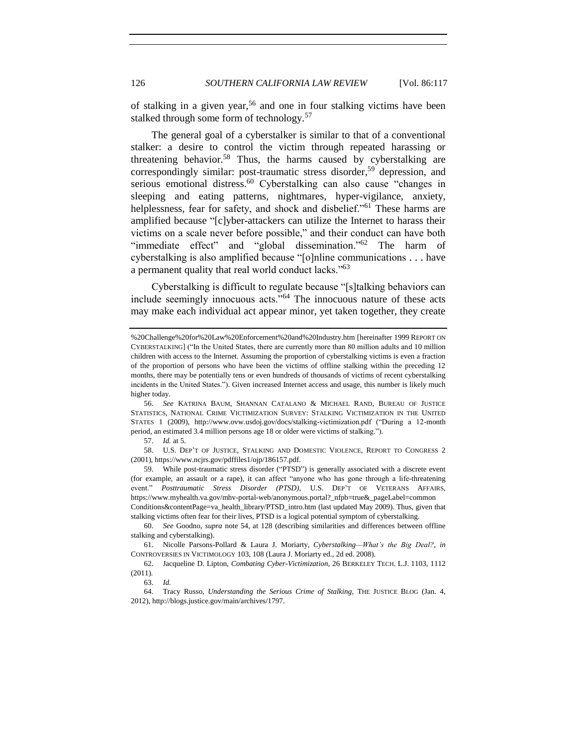of stalking in a given year,<sup>56</sup> and one in four stalking victims have been stalked through some form of technology.<sup>57</sup>

<span id="page-9-1"></span>The general goal of a cyberstalker is similar to that of a conventional stalker: a desire to control the victim through repeated harassing or threatening behavior.<sup>58</sup> Thus, the harms caused by cyberstalking are correspondingly similar: post-traumatic stress disorder, <sup>59</sup> depression, and serious emotional distress.<sup>60</sup> Cyberstalking can also cause "changes in sleeping and eating patterns, nightmares, hyper-vigilance, anxiety, helplessness, fear for safety, and shock and disbelief."<sup>61</sup> These harms are amplified because "[c]yber-attackers can utilize the Internet to harass their victims on a scale never before possible," and their conduct can have both "immediate effect" and "global dissemination."<sup>62</sup> The harm of cyberstalking is also amplified because "[o]nline communications . . . have a permanent quality that real world conduct lacks."<sup>63</sup>

<span id="page-9-2"></span><span id="page-9-0"></span>Cyberstalking is difficult to regulate because "[s]talking behaviors can include seemingly innocuous acts."<sup>64</sup> The innocuous nature of these acts may make each individual act appear minor, yet taken together, they create

57. *Id.* at 5.

58. U.S. DEP'T OF JUSTICE, STALKING AND DOMESTIC VIOLENCE, REPORT TO CONGRESS 2 (2001), https://www.ncjrs.gov/pdffiles1/ojp/186157.pdf.

59. While post-traumatic stress disorder ("PTSD") is generally associated with a discrete event (for example, an assault or a rape), it can affect "anyone who has gone through a life-threatening event." *Posttraumatic Stress Disorder (PTSD)*, U.S. DEP'T OF VETERANS AFFAIRS, https://www.myhealth.va.gov/mhv-portal-web/anonymous.portal?\_nfpb=true&\_pageLabel=common Conditions&contentPage=va\_health\_library/PTSD\_intro.htm (last updated May 2009). Thus, given that stalking victims often fear for their lives, PTSD is a logical potential symptom of cyberstalking.

<sup>%20</sup>Challenge%20for%20Law%20Enforcement%20and%20Industry.htm [hereinafter 1999 REPORT ON CYBERSTALKING] ("In the United States, there are currently more than 80 million adults and 10 million children with access to the Internet. Assuming the proportion of cyberstalking victims is even a fraction of the proportion of persons who have been the victims of offline stalking within the preceding 12 months, there may be potentially tens or even hundreds of thousands of victims of recent cyberstalking incidents in the United States."). Given increased Internet access and usage, this number is likely much higher today.

<sup>56.</sup> *See* KATRINA BAUM, SHANNAN CATALANO & MICHAEL RAND, BUREAU OF JUSTICE STATISTICS, NATIONAL CRIME VICTIMIZATION SURVEY: STALKING VICTIMIZATION IN THE UNITED STATES 1 (2009), http://www.ovw.usdoj.gov/docs/stalking-victimization.pdf ("During a 12-month period, an estimated 3.4 million persons age 18 or older were victims of stalking.").

<sup>60.</sup> *See* Goodno, *supra* note [54,](#page-8-2) at 128 (describing similarities and differences between offline stalking and cyberstalking).

<sup>61.</sup> Nicolle Parsons-Pollard & Laura J. Moriarty, *Cyberstalking—What's the Big Deal?*, *in* CONTROVERSIES IN VICTIMOLOGY 103, 108 (Laura J. Moriarty ed., 2d ed. 2008).

<sup>62.</sup> Jacqueline D. Lipton, *Combating Cyber-Victimization*, 26 BERKELEY TECH. L.J. 1103, 1112 (2011).

<sup>63.</sup> *Id.*

<sup>64.</sup> Tracy Russo, *Understanding the Serious Crime of Stalking*, THE JUSTICE BLOG (Jan. 4, 2012), http://blogs.justice.gov/main/archives/1797.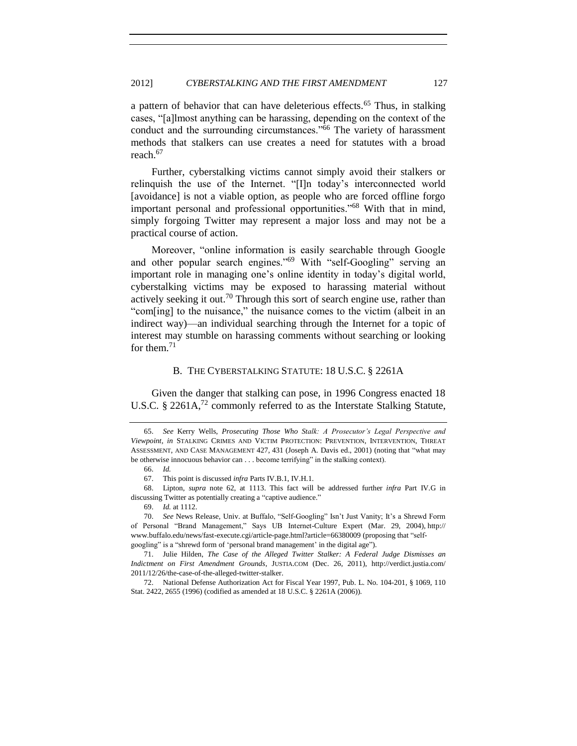a pattern of behavior that can have deleterious effects.<sup>65</sup> Thus, in stalking cases, "[a]lmost anything can be harassing, depending on the context of the conduct and the surrounding circumstances."<sup>66</sup> The variety of harassment methods that stalkers can use creates a need for statutes with a broad reach.<sup>67</sup>

<span id="page-10-1"></span>Further, cyberstalking victims cannot simply avoid their stalkers or relinquish the use of the Internet. "[I]n today's interconnected world [avoidance] is not a viable option, as people who are forced offline forgo important personal and professional opportunities."<sup>68</sup> With that in mind, simply forgoing Twitter may represent a major loss and may not be a practical course of action.

<span id="page-10-2"></span>Moreover, "online information is easily searchable through Google and other popular search engines."<sup>69</sup> With "self-Googling" serving an important role in managing one's online identity in today's digital world, cyberstalking victims may be exposed to harassing material without actively seeking it out.<sup>70</sup> Through this sort of search engine use, rather than "com[ing] to the nuisance," the nuisance comes to the victim (albeit in an indirect way)—an individual searching through the Internet for a topic of interest may stumble on harassing comments without searching or looking for them.<sup>71</sup>

#### <span id="page-10-3"></span>B. THE CYBERSTALKING STATUTE: 18 U.S.C. § 2261A

<span id="page-10-0"></span>Given the danger that stalking can pose, in 1996 Congress enacted 18 U.S.C. § 2261A,<sup>72</sup> commonly referred to as the Interstate Stalking Statute,

68. Lipton, *supra* note [62,](#page-9-0) at 1113. This fact will be addressed further *infra* Part IV.G in discussing Twitter as potentially creating a "captive audience."

69. *Id.* at 1112.

70. *See* News Release, Univ. at Buffalo, "Self-Googling" Isn't Just Vanity; It's a Shrewd Form of Personal "Brand Management," Says UB Internet-Culture Expert (Mar. 29, 2004), http:// www.buffalo.edu/news/fast-execute.cgi/article-page.html?article=66380009 (proposing that "selfgoogling" is a "shrewd form of 'personal brand management' in the digital age").

71. Julie Hilden, *The Case of the Alleged Twitter Stalker: A Federal Judge Dismisses an Indictment on First Amendment Grounds*, JUSTIA.COM (Dec. 26, 2011), http://verdict.justia.com/ 2011/12/26/the-case-of-the-alleged-twitter-stalker.

72. National Defense Authorization Act for Fiscal Year 1997, Pub. L. No. 104-201, § 1069, 110 Stat. 2422, 2655 (1996) (codified as amended at 18 U.S.C. § 2261A (2006)).

<sup>65.</sup> *See* Kerry Wells, *Prosecuting Those Who Stalk: A Prosecutor's Legal Perspective and Viewpoint*, *in* STALKING CRIMES AND VICTIM PROTECTION: PREVENTION, INTERVENTION, THREAT ASSESSMENT, AND CASE MANAGEMENT 427, 431 (Joseph A. Davis ed., 2001) (noting that "what may be otherwise innocuous behavior can . . . become terrifying" in the stalking context).

<sup>66.</sup> *Id.*

<sup>67.</sup> This point is discussed *infra* Parts IV.B.1, IV.H.1.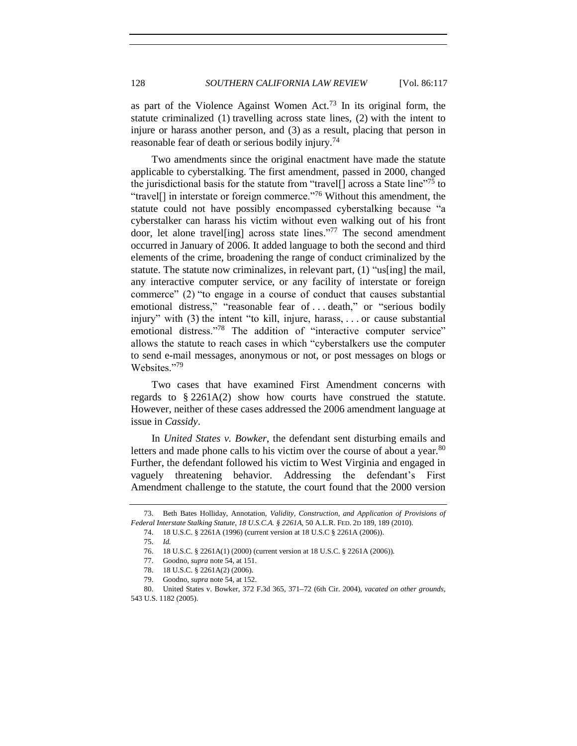as part of the Violence Against Women Act.<sup>73</sup> In its original form, the statute criminalized (1) travelling across state lines, (2) with the intent to injure or harass another person, and (3) as a result, placing that person in reasonable fear of death or serious bodily injury.<sup>74</sup>

<span id="page-11-0"></span>Two amendments since the original enactment have made the statute applicable to cyberstalking. The first amendment, passed in 2000, changed the jurisdictional basis for the statute from "travel[] across a State line"<sup>75</sup> to "travel[] in interstate or foreign commerce."<sup>76</sup> Without this amendment, the statute could not have possibly encompassed cyberstalking because "a cyberstalker can harass his victim without even walking out of his front door, let alone travel[ing] across state lines."<sup>77</sup> The second amendment occurred in January of 2006. It added language to both the second and third elements of the crime, broadening the range of conduct criminalized by the statute. The statute now criminalizes, in relevant part, (1) "us[ing] the mail, any interactive computer service, or any facility of interstate or foreign commerce" (2) "to engage in a course of conduct that causes substantial emotional distress," "reasonable fear of . . . death," or "serious bodily injury" with (3) the intent "to kill, injure, harass, . . . or cause substantial emotional distress."<sup>78</sup> The addition of "interactive computer service" allows the statute to reach cases in which "cyberstalkers use the computer to send e-mail messages, anonymous or not, or post messages on blogs or Websites."79

<span id="page-11-1"></span>Two cases that have examined First Amendment concerns with regards to § 2261A(2) show how courts have construed the statute. However, neither of these cases addressed the 2006 amendment language at issue in *Cassidy*.

In *United States v. Bowker*, the defendant sent disturbing emails and letters and made phone calls to his victim over the course of about a year.<sup>80</sup> Further, the defendant followed his victim to West Virginia and engaged in vaguely threatening behavior. Addressing the defendant's First Amendment challenge to the statute, the court found that the 2000 version

<sup>73.</sup> Beth Bates Holliday, Annotation, *Validity, Construction, and Application of Provisions of Federal Interstate Stalking Statute, 18 U.S.C.A. § 2261A*, 50 A.L.R. FED. 2D 189, 189 (2010).

<sup>74.</sup> 18 U.S.C. § 2261A (1996) (current version at 18 U.S.C § 2261A (2006)).

<sup>75.</sup> *Id.*

<sup>76.</sup> 18 U.S.C. § 2261A(1) (2000) (current version at 18 U.S.C. § 2261A (2006)).

<sup>77.</sup> Goodno, *supra* note [54,](#page-8-2) at 151.

<sup>78.</sup> 18 U.S.C. § 2261A(2) (2006).

<sup>79.</sup> Goodno, *supra* note [54,](#page-8-2) at 152.

<sup>80.</sup> United States v. Bowker, 372 F.3d 365, 371 72 (6th Cir. 2004), *vacated on other grounds*, 543 U.S. 1182 (2005).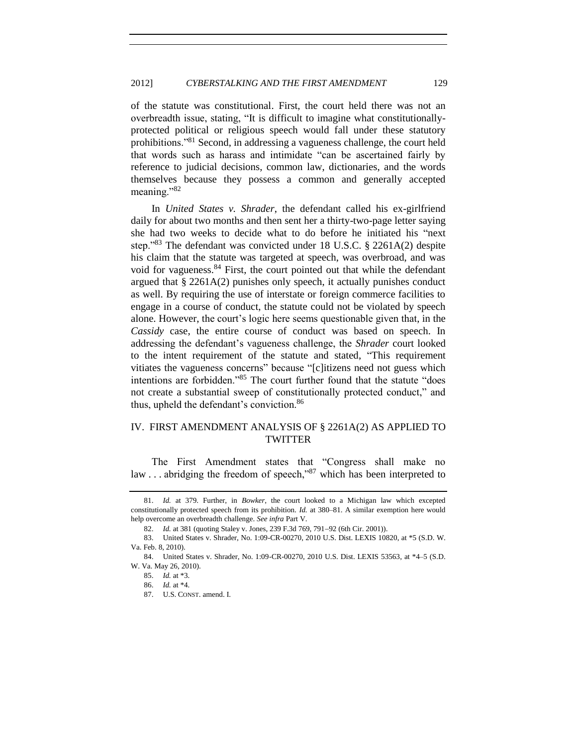of the statute was constitutional. First, the court held there was not an overbreadth issue, stating, "It is difficult to imagine what constitutionallyprotected political or religious speech would fall under these statutory prohibitions."<sup>81</sup> Second, in addressing a vagueness challenge, the court held that words such as harass and intimidate "can be ascertained fairly by reference to judicial decisions, common law, dictionaries, and the words themselves because they possess a common and generally accepted meaning."<sup>82</sup>

In *United States v. Shrader*, the defendant called his ex-girlfriend daily for about two months and then sent her a thirty-two-page letter saying she had two weeks to decide what to do before he initiated his "next step."<sup>83</sup> The defendant was convicted under 18 U.S.C. § 2261A(2) despite his claim that the statute was targeted at speech, was overbroad, and was void for vagueness.<sup>84</sup> First, the court pointed out that while the defendant argued that  $\S 2261A(2)$  punishes only speech, it actually punishes conduct as well. By requiring the use of interstate or foreign commerce facilities to engage in a course of conduct, the statute could not be violated by speech alone. However, the court's logic here seems questionable given that, in the *Cassidy* case, the entire course of conduct was based on speech. In addressing the defendant's vagueness challenge, the *Shrader* court looked to the intent requirement of the statute and stated, "This requirement vitiates the vagueness concerns" because "[c]itizens need not guess which intentions are forbidden."<sup>85</sup> The court further found that the statute "does not create a substantial sweep of constitutionally protected conduct," and thus, upheld the defendant's conviction.<sup>86</sup>

## <span id="page-12-0"></span>IV. FIRST AMENDMENT ANALYSIS OF § 2261A(2) AS APPLIED TO TWITTER

The First Amendment states that "Congress shall make no law ... abridging the freedom of speech,"<sup>87</sup> which has been interpreted to

<sup>81.</sup> *Id.* at 379. Further, in *Bowker*, the court looked to a Michigan law which excepted constitutionally protected speech from its prohibition. *Id.* at 380–81. A similar exemption here would help overcome an overbreadth challenge. *See infra* Part V.

<sup>82.</sup> *Id.* at 381 (quoting Staley v. Jones, 239 F.3d 769, 791-92 (6th Cir. 2001)).

<sup>83.</sup> United States v. Shrader, No. 1:09-CR-00270, 2010 U.S. Dist. LEXIS 10820, at \*5 (S.D. W. Va. Feb. 8, 2010).

<sup>84.</sup> United States v. Shrader, No. 1:09-CR-00270, 2010 U.S. Dist. LEXIS 53563, at \*4–5 (S.D. W. Va. May 26, 2010).

<sup>85.</sup> *Id.* at \*3.

<sup>86.</sup> *Id.* at \*4.

<sup>87.</sup> U.S. CONST. amend. I.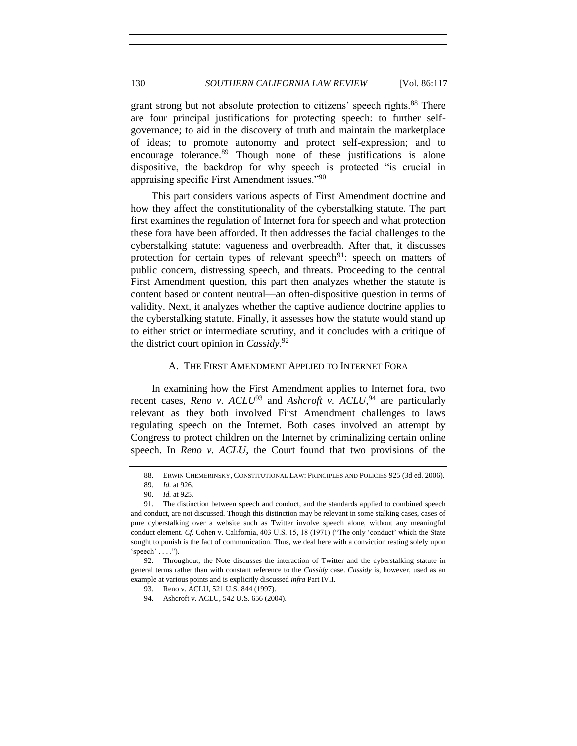<span id="page-13-1"></span>grant strong but not absolute protection to citizens' speech rights.<sup>88</sup> There are four principal justifications for protecting speech: to further selfgovernance; to aid in the discovery of truth and maintain the marketplace of ideas; to promote autonomy and protect self-expression; and to encourage tolerance.<sup>89</sup> Though none of these justifications is alone dispositive, the backdrop for why speech is protected "is crucial in appraising specific First Amendment issues."<sup>90</sup>

This part considers various aspects of First Amendment doctrine and how they affect the constitutionality of the cyberstalking statute. The part first examines the regulation of Internet fora for speech and what protection these fora have been afforded. It then addresses the facial challenges to the cyberstalking statute: vagueness and overbreadth. After that, it discusses protection for certain types of relevant speech<sup>91</sup>: speech on matters of public concern, distressing speech, and threats. Proceeding to the central First Amendment question, this part then analyzes whether the statute is content based or content neutral—an often-dispositive question in terms of validity. Next, it analyzes whether the captive audience doctrine applies to the cyberstalking statute. Finally, it assesses how the statute would stand up to either strict or intermediate scrutiny, and it concludes with a critique of the district court opinion in *Cassidy*. 92

#### A. THE FIRST AMENDMENT APPLIED TO INTERNET FORA

<span id="page-13-0"></span>In examining how the First Amendment applies to Internet fora, two recent cases, *Reno v.*  $ACLU^{93}$  and *Ashcroft v.*  $ACLU^{94}$  are particularly relevant as they both involved First Amendment challenges to laws regulating speech on the Internet. Both cases involved an attempt by Congress to protect children on the Internet by criminalizing certain online speech. In *Reno v. ACLU*, the Court found that two provisions of the

<sup>88.</sup> ERWIN CHEMERINSKY, CONSTITUTIONAL LAW: PRINCIPLES AND POLICIES 925 (3d ed. 2006).

<sup>89.</sup> *Id.* at 926.

<sup>90.</sup> *Id.* at 925.

<sup>91.</sup> The distinction between speech and conduct, and the standards applied to combined speech and conduct, are not discussed. Though this distinction may be relevant in some stalking cases, cases of pure cyberstalking over a website such as Twitter involve speech alone, without any meaningful conduct element. *Cf.* Cohen v. California, 403 U.S. 15, 18 (1971) ("The only 'conduct' which the State sought to punish is the fact of communication. Thus, we deal here with a conviction resting solely upon 'speech'  $\dots$ ").

<sup>92.</sup> Throughout, the Note discusses the interaction of Twitter and the cyberstalking statute in general terms rather than with constant reference to the *Cassidy* case. *Cassidy* is, however, used as an example at various points and is explicitly discussed *infra* Part IV.I.

<sup>93.</sup> Reno v. ACLU, 521 U.S. 844 (1997).

<sup>94.</sup> Ashcroft v. ACLU, 542 U.S. 656 (2004).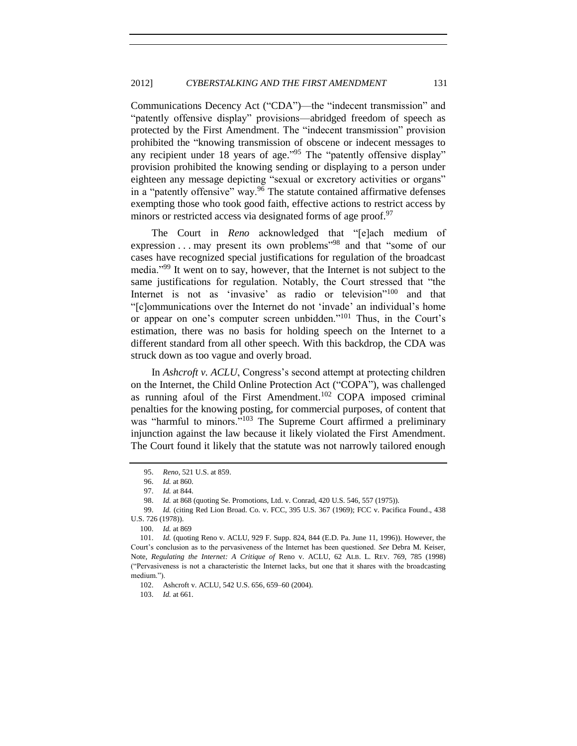Communications Decency Act ("CDA")—the "indecent transmission" and "patently offensive display" provisions—abridged freedom of speech as protected by the First Amendment. The "indecent transmission" provision prohibited the "knowing transmission of obscene or indecent messages to any recipient under 18 years of age."<sup>95</sup> The "patently offensive display" provision prohibited the knowing sending or displaying to a person under eighteen any message depicting "sexual or excretory activities or organs" in a "patently offensive" way.<sup>96</sup> The statute contained affirmative defenses exempting those who took good faith, effective actions to restrict access by minors or restricted access via designated forms of age proof.<sup>97</sup>

The Court in *Reno* acknowledged that "[e]ach medium of expression . . . may present its own problems<sup>"98</sup> and that "some of our cases have recognized special justifications for regulation of the broadcast media."<sup>99</sup> It went on to say, however, that the Internet is not subject to the same justifications for regulation. Notably, the Court stressed that "the Internet is not as 'invasive' as radio or television"<sup>100</sup> and that "[c]ommunications over the Internet do not 'invade' an individual's home or appear on one's computer screen unbidden."<sup>101</sup> Thus, in the Court's estimation, there was no basis for holding speech on the Internet to a different standard from all other speech. With this backdrop, the CDA was struck down as too vague and overly broad.

<span id="page-14-0"></span>In *Ashcroft v. ACLU*, Congress's second attempt at protecting children on the Internet, the Child Online Protection Act ("COPA"), was challenged as running afoul of the First Amendment.<sup>102</sup> COPA imposed criminal penalties for the knowing posting, for commercial purposes, of content that was "harmful to minors."<sup>103</sup> The Supreme Court affirmed a preliminary injunction against the law because it likely violated the First Amendment. The Court found it likely that the statute was not narrowly tailored enough

103. *Id.* at 661.

<sup>95.</sup> *Reno*, 521 U.S. at 859.

<sup>96.</sup> *Id.* at 860.

<sup>97.</sup> *Id.* at 844.

<sup>98.</sup> *Id.* at 868 (quoting Se. Promotions, Ltd. v. Conrad, 420 U.S. 546, 557 (1975)).

<sup>99.</sup> *Id.* (citing Red Lion Broad. Co. v. FCC, 395 U.S. 367 (1969); FCC v. Pacifica Found., 438 U.S. 726 (1978)).

<sup>100.</sup> *Id.* at 869

<sup>101.</sup> *Id.* (quoting Reno v. ACLU, 929 F. Supp. 824, 844 (E.D. Pa. June 11, 1996)). However, the Court's conclusion as to the pervasiveness of the Internet has been questioned. *See* Debra M. Keiser, Note, *Regulating the Internet: A Critique of* Reno v. ACLU, 62 ALB. L. REV. 769, 785 (1998) ("Pervasiveness is not a characteristic the Internet lacks, but one that it shares with the broadcasting medium.").

<sup>102.</sup> Ashcroft v. ACLU, 542 U.S. 656, 659–60 (2004).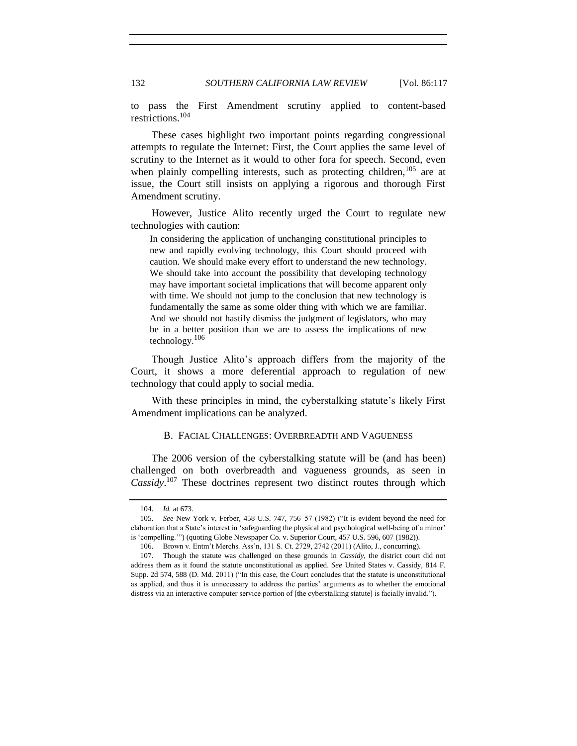to pass the First Amendment scrutiny applied to content-based restrictions.<sup>104</sup>

These cases highlight two important points regarding congressional attempts to regulate the Internet: First, the Court applies the same level of scrutiny to the Internet as it would to other fora for speech. Second, even when plainly compelling interests, such as protecting children,  $105$  are at issue, the Court still insists on applying a rigorous and thorough First Amendment scrutiny.

However, Justice Alito recently urged the Court to regulate new technologies with caution:

In considering the application of unchanging constitutional principles to new and rapidly evolving technology, this Court should proceed with caution. We should make every effort to understand the new technology. We should take into account the possibility that developing technology may have important societal implications that will become apparent only with time. We should not jump to the conclusion that new technology is fundamentally the same as some older thing with which we are familiar. And we should not hastily dismiss the judgment of legislators, who may be in a better position than we are to assess the implications of new technology. $106$ 

Though Justice Alito's approach differs from the majority of the Court, it shows a more deferential approach to regulation of new technology that could apply to social media.

<span id="page-15-0"></span>With these principles in mind, the cyberstalking statute's likely First Amendment implications can be analyzed.

## B. FACIAL CHALLENGES: OVERBREADTH AND VAGUENESS

The 2006 version of the cyberstalking statute will be (and has been) challenged on both overbreadth and vagueness grounds, as seen in *Cassidy*. <sup>107</sup> These doctrines represent two distinct routes through which

<sup>104.</sup> *Id.* at 673.

<sup>105.</sup> *See* New York v. Ferber, 458 U.S. 747, 756–57 (1982) ("It is evident beyond the need for elaboration that a State's interest in 'safeguarding the physical and psychological well-being of a minor' is 'compelling.'") (quoting Globe Newspaper Co. v. Superior Court, 457 U.S. 596, 607 (1982)).

<sup>106.</sup> Brown v. Entm't Merchs. Ass'n, 131 S. Ct. 2729, 2742 (2011) (Alito, J., concurring).

<sup>107.</sup> Though the statute was challenged on these grounds in *Cassidy*, the district court did not address them as it found the statute unconstitutional as applied. *See* United States v. Cassidy, 814 F. Supp. 2d 574, 588 (D. Md. 2011) ("In this case, the Court concludes that the statute is unconstitutional as applied, and thus it is unnecessary to address the parties' arguments as to whether the emotional distress via an interactive computer service portion of [the cyberstalking statute] is facially invalid.").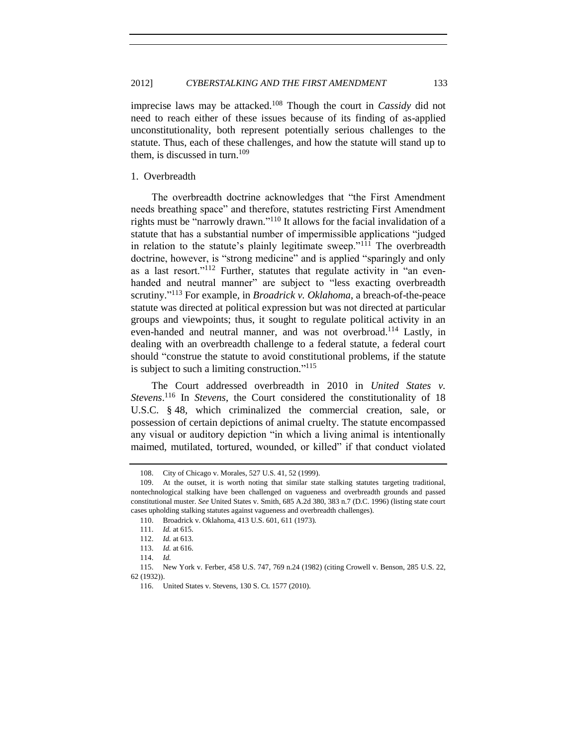imprecise laws may be attacked.<sup>108</sup> Though the court in *Cassidy* did not need to reach either of these issues because of its finding of as-applied unconstitutionality, both represent potentially serious challenges to the statute. Thus, each of these challenges, and how the statute will stand up to them, is discussed in turn.<sup>109</sup>

## <span id="page-16-0"></span>1. Overbreadth

The overbreadth doctrine acknowledges that "the First Amendment needs breathing space" and therefore, statutes restricting First Amendment rights must be "narrowly drawn." <sup>110</sup> It allows for the facial invalidation of a statute that has a substantial number of impermissible applications "judged in relation to the statute's plainly legitimate sweep."<sup>111</sup> The overbreadth doctrine, however, is "strong medicine" and is applied "sparingly and only as a last resort."<sup>112</sup> Further, statutes that regulate activity in "an evenhanded and neutral manner" are subject to "less exacting overbreadth scrutiny." <sup>113</sup> For example, in *Broadrick v. Oklahoma*, a breach-of-the-peace statute was directed at political expression but was not directed at particular groups and viewpoints; thus, it sought to regulate political activity in an even-handed and neutral manner, and was not overbroad.<sup>114</sup> Lastly, in dealing with an overbreadth challenge to a federal statute, a federal court should "construe the statute to avoid constitutional problems, if the statute is subject to such a limiting construction."<sup>115</sup>

<span id="page-16-1"></span>The Court addressed overbreadth in 2010 in *United States v. Stevens*. <sup>116</sup> In *Stevens*, the Court considered the constitutionality of 18 U.S.C. § 48, which criminalized the commercial creation, sale, or possession of certain depictions of animal cruelty. The statute encompassed any visual or auditory depiction "in which a living animal is intentionally maimed, mutilated, tortured, wounded, or killed" if that conduct violated

<sup>108.</sup> City of Chicago v. Morales, 527 U.S. 41, 52 (1999).

<sup>109.</sup> At the outset, it is worth noting that similar state stalking statutes targeting traditional, nontechnological stalking have been challenged on vagueness and overbreadth grounds and passed constitutional muster. *See* United States v. Smith, 685 A.2d 380, 383 n.7 (D.C. 1996) (listing state court cases upholding stalking statutes against vagueness and overbreadth challenges).

<sup>110.</sup> Broadrick v. Oklahoma, 413 U.S. 601, 611 (1973).

<sup>111.</sup> *Id.* at 615.

<sup>112.</sup> *Id.* at 613.

<sup>113.</sup> *Id.* at 616.

<sup>114.</sup> *Id.*

<sup>115.</sup> New York v. Ferber, 458 U.S. 747, 769 n.24 (1982) (citing Crowell v. Benson, 285 U.S. 22, 62 (1932)).

<sup>116.</sup> United States v. Stevens, 130 S. Ct. 1577 (2010).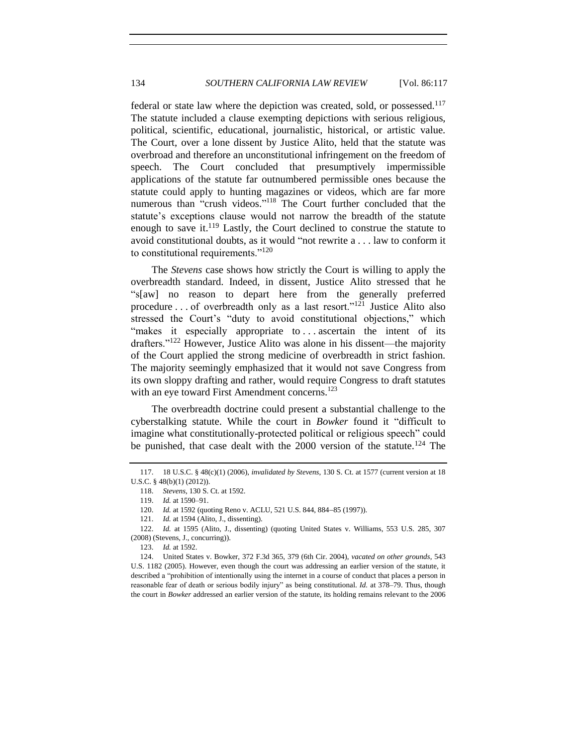federal or state law where the depiction was created, sold, or possessed.<sup>117</sup> The statute included a clause exempting depictions with serious religious, political, scientific, educational, journalistic, historical, or artistic value. The Court, over a lone dissent by Justice Alito, held that the statute was overbroad and therefore an unconstitutional infringement on the freedom of speech. The Court concluded that presumptively impermissible applications of the statute far outnumbered permissible ones because the statute could apply to hunting magazines or videos, which are far more numerous than "crush videos."<sup>118</sup> The Court further concluded that the statute's exceptions clause would not narrow the breadth of the statute enough to save it.<sup>119</sup> Lastly, the Court declined to construe the statute to avoid constitutional doubts, as it would "not rewrite a . . . law to conform it to constitutional requirements."<sup>120</sup>

The *Stevens* case shows how strictly the Court is willing to apply the overbreadth standard. Indeed, in dissent, Justice Alito stressed that he "s[aw] no reason to depart here from the generally preferred procedure . . . of overbreadth only as a last resort."<sup>121</sup> Justice Alito also stressed the Court's "duty to avoid constitutional objections," which "makes it especially appropriate to ... ascertain the intent of its drafters."<sup>122</sup> However, Justice Alito was alone in his dissent—the majority of the Court applied the strong medicine of overbreadth in strict fashion. The majority seemingly emphasized that it would not save Congress from its own sloppy drafting and rather, would require Congress to draft statutes with an eye toward First Amendment concerns.<sup>123</sup>

The overbreadth doctrine could present a substantial challenge to the cyberstalking statute. While the court in *Bowker* found it "difficult to imagine what constitutionally-protected political or religious speech" could be punished, that case dealt with the  $2000$  version of the statute.<sup>124</sup> The

<sup>117.</sup> 18 U.S.C. § 48(c)(1) (2006), *invalidated by Stevens*, 130 S. Ct. at 1577 (current version at 18 U.S.C. § 48(b)(1) (2012)).

<sup>118.</sup> *Stevens*, 130 S. Ct. at 1592.

<sup>119.</sup> *Id.* at 1590–91.

<sup>120.</sup> *Id.* at 1592 (quoting Reno v. ACLU, 521 U.S. 844, 884–85 (1997)).

<sup>121.</sup> *Id.* at 1594 (Alito, J., dissenting).

<sup>122.</sup> *Id.* at 1595 (Alito, J., dissenting) (quoting United States v. Williams, 553 U.S. 285, 307 (2008) (Stevens, J., concurring)).

<sup>123.</sup> *Id.* at 1592.

<sup>124.</sup> United States v. Bowker, 372 F.3d 365, 379 (6th Cir. 2004), *vacated on other grounds*, 543 U.S. 1182 (2005). However, even though the court was addressing an earlier version of the statute, it described a "prohibition of intentionally using the internet in a course of conduct that places a person in reasonable fear of death or serious bodily injury" as being constitutional. *Id.* at 378–79. Thus, though the court in *Bowker* addressed an earlier version of the statute, its holding remains relevant to the 2006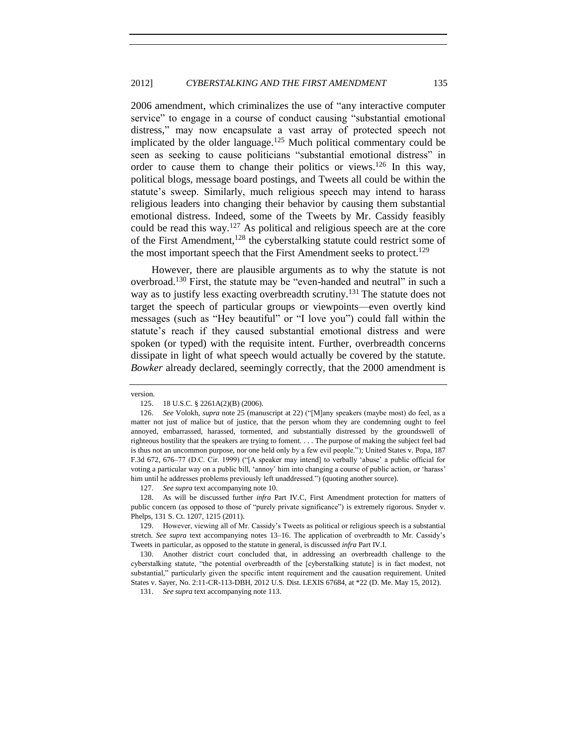2006 amendment, which criminalizes the use of "any interactive computer service" to engage in a course of conduct causing "substantial emotional distress," may now encapsulate a vast array of protected speech not implicated by the older language. <sup>125</sup> Much political commentary could be seen as seeking to cause politicians "substantial emotional distress" in order to cause them to change their politics or views.<sup>126</sup> In this way, political blogs, message board postings, and Tweets all could be within the statute's sweep. Similarly, much religious speech may intend to harass religious leaders into changing their behavior by causing them substantial emotional distress. Indeed, some of the Tweets by Mr. Cassidy feasibly could be read this way.<sup>127</sup> As political and religious speech are at the core of the First Amendment,  $128$  the cyberstalking statute could restrict some of the most important speech that the First Amendment seeks to protect.<sup>129</sup>

However, there are plausible arguments as to why the statute is not overbroad.<sup>130</sup> First, the statute may be "even-handed and neutral" in such a way as to justify less exacting overbreadth scrutiny.<sup>131</sup> The statute does not target the speech of particular groups or viewpoints—even overtly kind messages (such as "Hey beautiful" or "I love you") could fall within the statute's reach if they caused substantial emotional distress and were spoken (or typed) with the requisite intent. Further, overbreadth concerns dissipate in light of what speech would actually be covered by the statute. *Bowker* already declared, seemingly correctly, that the 2000 amendment is

127. *See supra* text accompanying not[e 10.](#page-2-0)

128. As will be discussed further *infra* Part IV.C, First Amendment protection for matters of public concern (as opposed to those of "purely private significance") is extremely rigorous. Snyder v. Phelps, 131 S. Ct. 1207, 1215 (2011).

129. However, viewing all of Mr. Cassidy's Tweets as political or religious speech is a substantial stretch. *See supra* text accompanying notes [13](#page-2-1)[–16.](#page-2-2) The application of overbreadth to Mr. Cassidy's Tweets in particular, as opposed to the statute in general, is discussed *infra* Part IV.I.

130. Another district court concluded that, in addressing an overbreadth challenge to the cyberstalking statute, "the potential overbreadth of the [cyberstalking statute] is in fact modest, not substantial," particularly given the specific intent requirement and the causation requirement. United States v. Sayer, No. 2:11-CR-113-DBH, 2012 U.S. Dist. LEXIS 67684, at \*22 (D. Me. May 15, 2012).

131. *See supra* text accompanying not[e 113.](#page-16-1)

version.

<sup>125.</sup> 18 U.S.C. § 2261A(2)(B) (2006).

<sup>126.</sup> *See* Volokh, *supra* not[e 25](#page-3-1) (manuscript at 22) ("[M]any speakers (maybe most) do feel, as a matter not just of malice but of justice, that the person whom they are condemning ought to feel annoyed, embarrassed, harassed, tormented, and substantially distressed by the groundswell of righteous hostility that the speakers are trying to foment. . . . The purpose of making the subject feel bad is thus not an uncommon purpose, nor one held only by a few evil people."); United States v. Popa, 187 F.3d 672, 676–77 (D.C. Cir. 1999) ("[A speaker may intend] to verbally 'abuse' a public official for voting a particular way on a public bill, 'annoy' him into changing a course of public action, or 'harass' him until he addresses problems previously left unaddressed.") (quoting another source).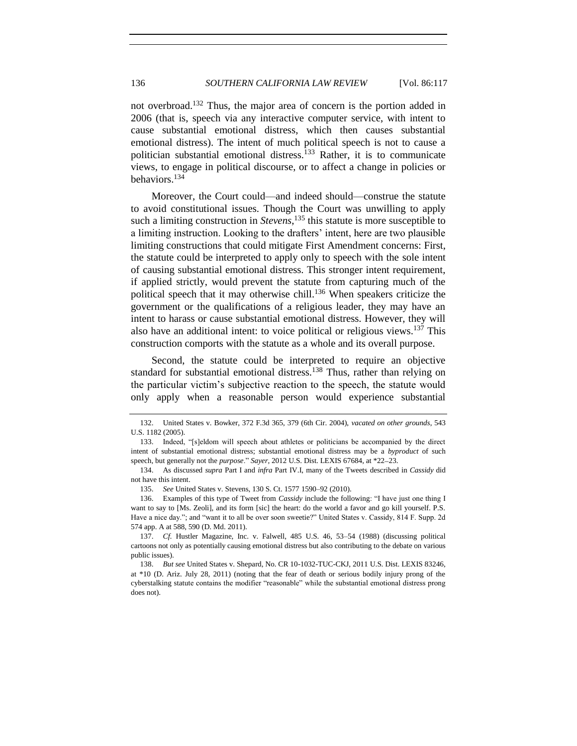not overbroad.<sup>132</sup> Thus, the major area of concern is the portion added in 2006 (that is, speech via any interactive computer service, with intent to cause substantial emotional distress, which then causes substantial emotional distress). The intent of much political speech is not to cause a politician substantial emotional distress.<sup>133</sup> Rather, it is to communicate views, to engage in political discourse, or to affect a change in policies or behaviors.<sup>134</sup>

Moreover, the Court could—and indeed should—construe the statute to avoid constitutional issues. Though the Court was unwilling to apply such a limiting construction in *Stevens*, <sup>135</sup> this statute is more susceptible to a limiting instruction. Looking to the drafters' intent, here are two plausible limiting constructions that could mitigate First Amendment concerns: First, the statute could be interpreted to apply only to speech with the sole intent of causing substantial emotional distress. This stronger intent requirement, if applied strictly, would prevent the statute from capturing much of the political speech that it may otherwise chill.<sup>136</sup> When speakers criticize the government or the qualifications of a religious leader, they may have an intent to harass or cause substantial emotional distress. However, they will also have an additional intent: to voice political or religious views.<sup>137</sup> This construction comports with the statute as a whole and its overall purpose.

Second, the statute could be interpreted to require an objective standard for substantial emotional distress.<sup>138</sup> Thus, rather than relying on the particular victim's subjective reaction to the speech, the statute would only apply when a reasonable person would experience substantial

<sup>132.</sup> United States v. Bowker, 372 F.3d 365, 379 (6th Cir. 2004), *vacated on other grounds*, 543 U.S. 1182 (2005).

<sup>133.</sup> Indeed, "[s]eldom will speech about athletes or politicians be accompanied by the direct intent of substantial emotional distress; substantial emotional distress may be a *byproduct* of such speech, but generally not the *purpose*." *Sayer*, 2012 U.S. Dist. LEXIS 67684, at \*22-23.

<sup>134.</sup> As discussed *supra* Part I and *infra* Part IV.I, many of the Tweets described in *Cassidy* did not have this intent.

<sup>135.</sup> *See* United States v. Stevens, 130 S. Ct. 1577 1590–92 (2010).

<sup>136.</sup> Examples of this type of Tweet from *Cassidy* include the following: "I have just one thing I want to say to [Ms. Zeoli], and its form [sic] the heart: do the world a favor and go kill yourself. P.S. Have a nice day."; and "want it to all be over soon sweetie?" United States v. Cassidy, 814 F. Supp. 2d 574 app. A at 588, 590 (D. Md. 2011).

<sup>137.</sup> *Cf.* Hustler Magazine, Inc. v. Falwell, 485 U.S. 46, 53–54 (1988) (discussing political cartoons not only as potentially causing emotional distress but also contributing to the debate on various public issues).

<sup>138.</sup> *But see* United States v. Shepard, No. CR 10-1032-TUC-CKJ, 2011 U.S. Dist. LEXIS 83246, at \*10 (D. Ariz. July 28, 2011) (noting that the fear of death or serious bodily injury prong of the cyberstalking statute contains the modifier "reasonable" while the substantial emotional distress prong does not).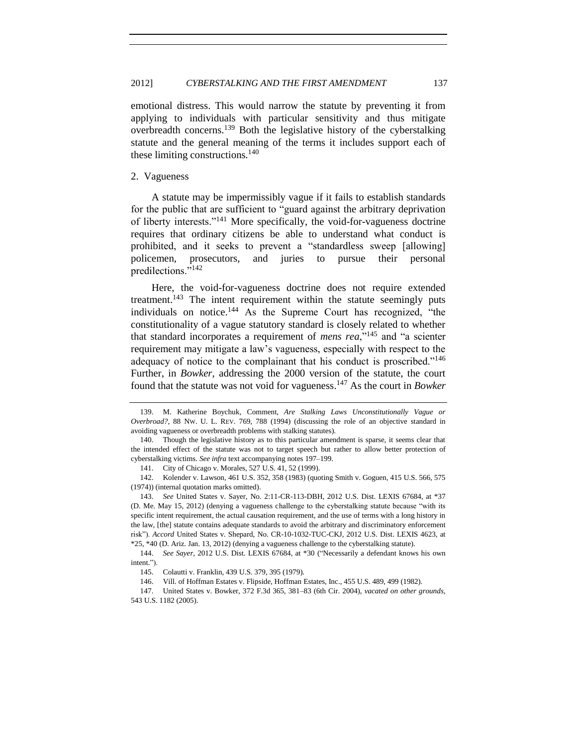emotional distress. This would narrow the statute by preventing it from applying to individuals with particular sensitivity and thus mitigate overbreadth concerns.<sup>139</sup> Both the legislative history of the cyberstalking statute and the general meaning of the terms it includes support each of these limiting constructions. $140$ 

## <span id="page-20-0"></span>2. Vagueness

A statute may be impermissibly vague if it fails to establish standards for the public that are sufficient to "guard against the arbitrary deprivation of liberty interests."<sup>141</sup> More specifically, the void-for-vagueness doctrine requires that ordinary citizens be able to understand what conduct is prohibited, and it seeks to prevent a "standardless sweep [allowing] policemen, prosecutors, and juries to pursue their personal predilections."<sup>142</sup>

Here, the void-for-vagueness doctrine does not require extended treatment.<sup>143</sup> The intent requirement within the statute seemingly puts individuals on notice.<sup>144</sup> As the Supreme Court has recognized, "the constitutionality of a vague statutory standard is closely related to whether that standard incorporates a requirement of *mens rea*,"<sup>145</sup> and "a scienter requirement may mitigate a law's vagueness, especially with respect to the adequacy of notice to the complainant that his conduct is proscribed."<sup>146</sup> Further, in *Bowker*, addressing the 2000 version of the statute, the court found that the statute was not void for vagueness. <sup>147</sup> As the court in *Bowker*

142. Kolender v. Lawson, 461 U.S. 352, 358 (1983) (quoting Smith v. Goguen, 415 U.S. 566, 575 (1974)) (internal quotation marks omitted).

<sup>139.</sup> M. Katherine Boychuk, Comment, *Are Stalking Laws Unconstitutionally Vague or Overbroad?*, 88 NW. U. L. REV. 769, 788 (1994) (discussing the role of an objective standard in avoiding vagueness or overbreadth problems with stalking statutes).

<sup>140.</sup> Though the legislative history as to this particular amendment is sparse, it seems clear that the intended effect of the statute was not to target speech but rather to allow better protection of cyberstalking victims. *See infra* text accompanying notes [197–](#page-28-1)[199.](#page-28-2)

<sup>141.</sup> City of Chicago v. Morales, 527 U.S. 41, 52 (1999).

<sup>143.</sup> *See* United States v. Sayer, No. 2:11-CR-113-DBH, 2012 U.S. Dist. LEXIS 67684, at \*37 (D. Me. May 15, 2012) (denying a vagueness challenge to the cyberstalking statute because "with its specific intent requirement, the actual causation requirement, and the use of terms with a long history in the law, [the] statute contains adequate standards to avoid the arbitrary and discriminatory enforcement risk"). *Accord* United States v. Shepard, No. CR-10-1032-TUC-CKJ, 2012 U.S. Dist. LEXIS 4623, at \*25, \*40 (D. Ariz. Jan. 13, 2012) (denying a vagueness challenge to the cyberstalking statute).

<sup>144.</sup> *See Sayer*, 2012 U.S. Dist. LEXIS 67684, at \*30 ("Necessarily a defendant knows his own intent.").

<sup>145.</sup> Colautti v. Franklin, 439 U.S. 379, 395 (1979).

<sup>146.</sup> Vill. of Hoffman Estates v. Flipside, Hoffman Estates, Inc., 455 U.S. 489, 499 (1982).

<sup>147.</sup> United States v. Bowker, 372 F.3d 365, 381–83 (6th Cir. 2004), *vacated on other grounds*, 543 U.S. 1182 (2005).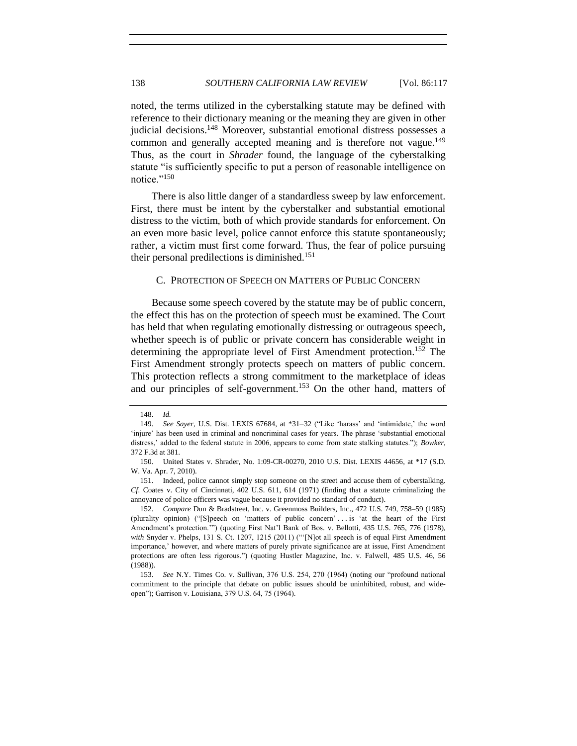noted, the terms utilized in the cyberstalking statute may be defined with reference to their dictionary meaning or the meaning they are given in other judicial decisions.<sup>148</sup> Moreover, substantial emotional distress possesses a common and generally accepted meaning and is therefore not vague.<sup>149</sup> Thus, as the court in *Shrader* found, the language of the cyberstalking statute "is sufficiently specific to put a person of reasonable intelligence on notice."<sup>150</sup>

There is also little danger of a standardless sweep by law enforcement. First, there must be intent by the cyberstalker and substantial emotional distress to the victim, both of which provide standards for enforcement. On an even more basic level, police cannot enforce this statute spontaneously; rather, a victim must first come forward. Thus, the fear of police pursuing their personal predilections is diminished.<sup>151</sup>

## <span id="page-21-0"></span>C. PROTECTION OF SPEECH ON MATTERS OF PUBLIC CONCERN

Because some speech covered by the statute may be of public concern, the effect this has on the protection of speech must be examined. The Court has held that when regulating emotionally distressing or outrageous speech, whether speech is of public or private concern has considerable weight in determining the appropriate level of First Amendment protection.<sup>152</sup> The First Amendment strongly protects speech on matters of public concern. This protection reflects a strong commitment to the marketplace of ideas and our principles of self-government.<sup>153</sup> On the other hand, matters of

<sup>148.</sup> *Id.*

<sup>149.</sup> *See Sayer*, U.S. Dist. LEXIS 67684, at \*31-32 ("Like 'harass' and 'intimidate,' the word 'injure' has been used in criminal and noncriminal cases for years. The phrase 'substantial emotional distress,' added to the federal statute in 2006, appears to come from state stalking statutes."); *Bowker*, 372 F.3d at 381.

<sup>150.</sup> United States v. Shrader, No. 1:09-CR-00270, 2010 U.S. Dist. LEXIS 44656, at \*17 (S.D. W. Va. Apr. 7, 2010).

<sup>151.</sup> Indeed, police cannot simply stop someone on the street and accuse them of cyberstalking. *Cf.* Coates v. City of Cincinnati, 402 U.S. 611, 614 (1971) (finding that a statute criminalizing the annoyance of police officers was vague because it provided no standard of conduct).

<sup>152.</sup> *Compare* Dun & Bradstreet, Inc. v. Greenmoss Builders, Inc., 472 U.S. 749, 758–59 (1985) (plurality opinion) ("[S]peech on 'matters of public concern' . . . is 'at the heart of the First Amendment's protection.'") (quoting First Nat'l Bank of Bos. v. Bellotti, 435 U.S. 765, 776 (1978), *with* Snyder v. Phelps, 131 S. Ct. 1207, 1215 (2011) ("Not all speech is of equal First Amendment importance,' however, and where matters of purely private significance are at issue, First Amendment protections are often less rigorous.") (quoting Hustler Magazine, Inc. v. Falwell, 485 U.S. 46, 56 (1988)).

<sup>153.</sup> *See* N.Y. Times Co. v. Sullivan, 376 U.S. 254, 270 (1964) (noting our "profound national commitment to the principle that debate on public issues should be uninhibited, robust, and wideopen"); Garrison v. Louisiana, 379 U.S. 64, 75 (1964).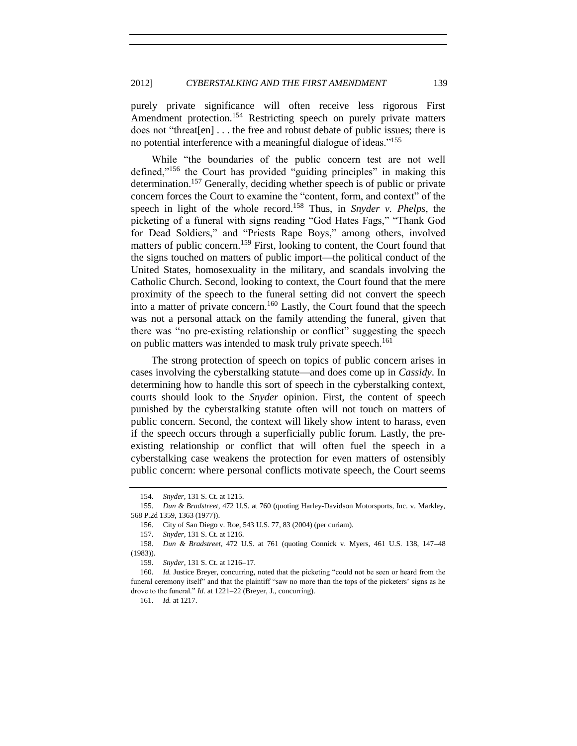purely private significance will often receive less rigorous First Amendment protection.<sup>154</sup> Restricting speech on purely private matters does not "threat[en] . . . the free and robust debate of public issues; there is no potential interference with a meaningful dialogue of ideas."<sup>155</sup>

While "the boundaries of the public concern test are not well defined,"<sup>156</sup> the Court has provided "guiding principles" in making this determination.<sup>157</sup> Generally, deciding whether speech is of public or private concern forces the Court to examine the "content, form, and context" of the speech in light of the whole record.<sup>158</sup> Thus, in *Snyder v. Phelps*, the picketing of a funeral with signs reading "God Hates Fags," "Thank God for Dead Soldiers," and "Priests Rape Boys," among others, involved matters of public concern.<sup>159</sup> First, looking to content, the Court found that the signs touched on matters of public import—the political conduct of the United States, homosexuality in the military, and scandals involving the Catholic Church. Second, looking to context, the Court found that the mere proximity of the speech to the funeral setting did not convert the speech into a matter of private concern.<sup>160</sup> Lastly, the Court found that the speech was not a personal attack on the family attending the funeral, given that there was "no pre-existing relationship or conflict" suggesting the speech on public matters was intended to mask truly private speech.<sup>161</sup>

The strong protection of speech on topics of public concern arises in cases involving the cyberstalking statute—and does come up in *Cassidy*. In determining how to handle this sort of speech in the cyberstalking context, courts should look to the *Snyder* opinion. First, the content of speech punished by the cyberstalking statute often will not touch on matters of public concern. Second, the context will likely show intent to harass, even if the speech occurs through a superficially public forum. Lastly, the preexisting relationship or conflict that will often fuel the speech in a cyberstalking case weakens the protection for even matters of ostensibly public concern: where personal conflicts motivate speech, the Court seems

<sup>154.</sup> *Snyder*, 131 S. Ct. at 1215.

<sup>155.</sup> *Dun & Bradstreet*, 472 U.S. at 760 (quoting Harley-Davidson Motorsports, Inc. v. Markley, 568 P.2d 1359, 1363 (1977)).

<sup>156.</sup> City of San Diego v. Roe, 543 U.S. 77, 83 (2004) (per curiam).

<sup>157.</sup> *Snyder*, 131 S. Ct. at 1216.

<sup>158.</sup> *Dun & Bradstreet*, 472 U.S. at 761 (quoting Connick v. Myers, 461 U.S. 138, 147 48 (1983)).

<sup>159.</sup> *Snyder*, 131 S. Ct. at 1216-17.

<sup>160.</sup> *Id.* Justice Breyer, concurring, noted that the picketing "could not be seen or heard from the funeral ceremony itself" and that the plaintiff "saw no more than the tops of the picketers' signs as he drove to the funeral." *Id.* at 1221–22 (Breyer, J., concurring).

<sup>161.</sup> *Id.* at 1217.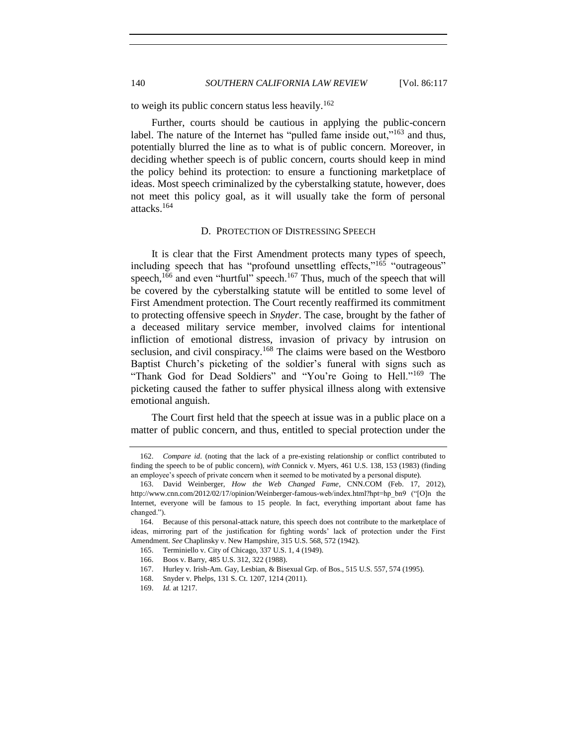to weigh its public concern status less heavily.<sup>162</sup>

Further, courts should be cautious in applying the public-concern label. The nature of the Internet has "pulled fame inside out," $163$  and thus, potentially blurred the line as to what is of public concern. Moreover, in deciding whether speech is of public concern, courts should keep in mind the policy behind its protection: to ensure a functioning marketplace of ideas. Most speech criminalized by the cyberstalking statute, however, does not meet this policy goal, as it will usually take the form of personal attacks.<sup>164</sup>

#### D. PROTECTION OF DISTRESSING SPEECH

<span id="page-23-0"></span>It is clear that the First Amendment protects many types of speech, including speech that has "profound unsettling effects,"<sup>165</sup> "outrageous" speech,<sup>166</sup> and even "hurtful" speech.<sup>167</sup> Thus, much of the speech that will be covered by the cyberstalking statute will be entitled to some level of First Amendment protection. The Court recently reaffirmed its commitment to protecting offensive speech in *Snyder*. The case, brought by the father of a deceased military service member, involved claims for intentional infliction of emotional distress, invasion of privacy by intrusion on seclusion, and civil conspiracy.<sup>168</sup> The claims were based on the Westboro Baptist Church's picketing of the soldier's funeral with signs such as "Thank God for Dead Soldiers" and "You're Going to Hell."<sup>169</sup> The picketing caused the father to suffer physical illness along with extensive emotional anguish.

The Court first held that the speech at issue was in a public place on a matter of public concern, and thus, entitled to special protection under the

<sup>162.</sup> *Compare id*. (noting that the lack of a pre-existing relationship or conflict contributed to finding the speech to be of public concern), *with* Connick v. Myers, 461 U.S. 138, 153 (1983) (finding an employee's speech of private concern when it seemed to be motivated by a personal dispute).

<sup>163.</sup> David Weinberger, *How the Web Changed Fame*, CNN.COM (Feb. 17, 2012), http://www.cnn.com/2012/02/17/opinion/Weinberger-famous-web/index.html?hpt=hp\_bn9 ("[O]n the Internet, everyone will be famous to 15 people. In fact, everything important about fame has changed.").

<sup>164.</sup> Because of this personal-attack nature, this speech does not contribute to the marketplace of ideas, mirroring part of the justification for fighting words' lack of protection under the First Amendment. *See* Chaplinsky v. New Hampshire, 315 U.S. 568, 572 (1942).

<sup>165.</sup> Terminiello v. City of Chicago, 337 U.S. 1, 4 (1949).

<sup>166.</sup> Boos v. Barry, 485 U.S. 312, 322 (1988).

<sup>167.</sup> Hurley v. Irish-Am. Gay, Lesbian, & Bisexual Grp. of Bos., 515 U.S. 557, 574 (1995).

<sup>168.</sup> Snyder v. Phelps, 131 S. Ct. 1207, 1214 (2011).

<sup>169.</sup> *Id.* at 1217.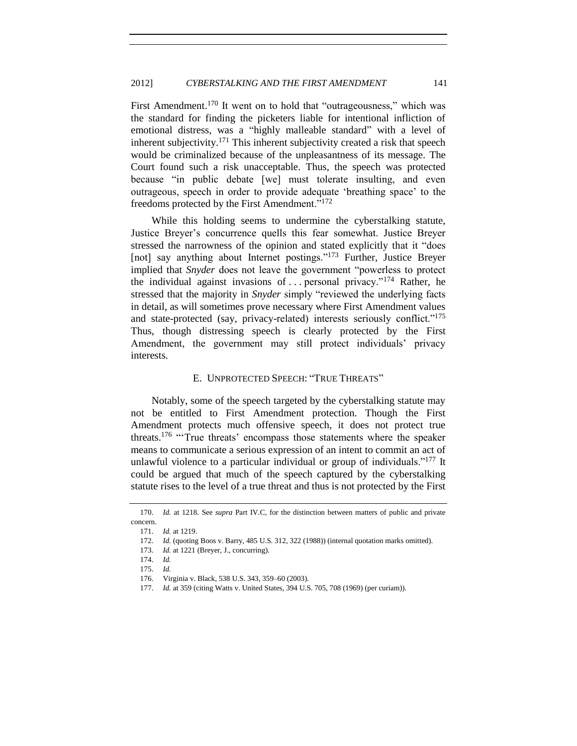First Amendment.<sup>170</sup> It went on to hold that "outrageousness," which was the standard for finding the picketers liable for intentional infliction of emotional distress, was a "highly malleable standard" with a level of inherent subjectivity.<sup>171</sup> This inherent subjectivity created a risk that speech would be criminalized because of the unpleasantness of its message. The Court found such a risk unacceptable. Thus, the speech was protected because "in public debate [we] must tolerate insulting, and even outrageous, speech in order to provide adequate 'breathing space' to the freedoms protected by the First Amendment."<sup>172</sup>

While this holding seems to undermine the cyberstalking statute, Justice Breyer's concurrence quells this fear somewhat. Justice Breyer stressed the narrowness of the opinion and stated explicitly that it "does [not] say anything about Internet postings."<sup>173</sup> Further, Justice Breyer implied that *Snyder* does not leave the government "powerless to protect the individual against invasions of ... personal privacy."<sup>174</sup> Rather, he stressed that the majority in *Snyder* simply "reviewed the underlying facts in detail, as will sometimes prove necessary where First Amendment values and state-protected (say, privacy-related) interests seriously conflict."<sup>175</sup> Thus, though distressing speech is clearly protected by the First Amendment, the government may still protect individuals' privacy interests.

## E. UNPROTECTED SPEECH: "TRUE THREATS"

<span id="page-24-0"></span>Notably, some of the speech targeted by the cyberstalking statute may not be entitled to First Amendment protection. Though the First Amendment protects much offensive speech, it does not protect true threats.<sup>176</sup> "'True threats' encompass those statements where the speaker means to communicate a serious expression of an intent to commit an act of unlawful violence to a particular individual or group of individuals."<sup>177</sup> It could be argued that much of the speech captured by the cyberstalking statute rises to the level of a true threat and thus is not protected by the First

<sup>170.</sup> *Id.* at 1218. See *supra* Part IV.C, for the distinction between matters of public and private concern.

<sup>171.</sup> *Id.* at 1219.

<sup>172.</sup> *Id.* (quoting Boos v. Barry, 485 U.S. 312, 322 (1988)) (internal quotation marks omitted).

<sup>173.</sup> *Id.* at 1221 (Breyer, J., concurring).

<sup>174.</sup> *Id.*

<sup>175.</sup> *Id.*

<sup>176.</sup> Virginia v. Black, 538 U.S. 343, 359–60 (2003).

<sup>177.</sup> *Id.* at 359 (citing Watts v. United States, 394 U.S. 705, 708 (1969) (per curiam)).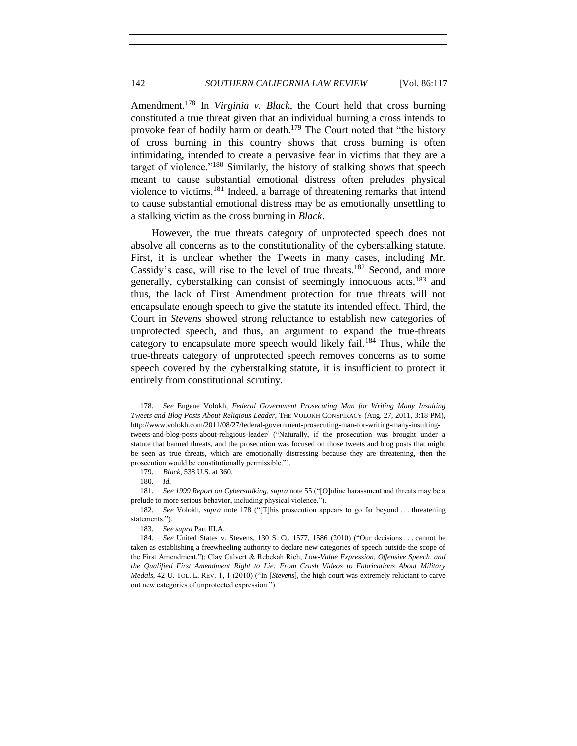<span id="page-25-0"></span>Amendment.<sup>178</sup> In *Virginia v. Black*, the Court held that cross burning constituted a true threat given that an individual burning a cross intends to provoke fear of bodily harm or death.<sup>179</sup> The Court noted that "the history" of cross burning in this country shows that cross burning is often intimidating, intended to create a pervasive fear in victims that they are a target of violence."<sup>180</sup> Similarly, the history of stalking shows that speech meant to cause substantial emotional distress often preludes physical violence to victims.<sup>181</sup> Indeed, a barrage of threatening remarks that intend to cause substantial emotional distress may be as emotionally unsettling to a stalking victim as the cross burning in *Black*.

However, the true threats category of unprotected speech does not absolve all concerns as to the constitutionality of the cyberstalking statute. First, it is unclear whether the Tweets in many cases, including Mr. Cassidy's case, will rise to the level of true threats.<sup>182</sup> Second, and more generally, cyberstalking can consist of seemingly innocuous acts,<sup>183</sup> and thus, the lack of First Amendment protection for true threats will not encapsulate enough speech to give the statute its intended effect. Third, the Court in *Stevens* showed strong reluctance to establish new categories of unprotected speech, and thus, an argument to expand the true-threats category to encapsulate more speech would likely fail.<sup>184</sup> Thus, while the true-threats category of unprotected speech removes concerns as to some speech covered by the cyberstalking statute, it is insufficient to protect it entirely from constitutional scrutiny.

<sup>178.</sup> *See* Eugene Volokh, *Federal Government Prosecuting Man for Writing Many Insulting Tweets and Blog Posts About Religious Leader*, THE VOLOKH CONSPIRACY (Aug. 27, 2011, 3:18 PM), http://www.volokh.com/2011/08/27/federal-government-prosecuting-man-for-writing-many-insultingtweets-and-blog-posts-about-religious-leader/ ("Naturally, if the prosecution was brought under a statute that banned threats, and the prosecution was focused on those tweets and blog posts that might be seen as true threats, which are emotionally distressing because they are threatening, then the prosecution would be constitutionally permissible.").

<sup>179.</sup> *Black*, 538 U.S. at 360.

<sup>180.</sup> *Id.*

<sup>181.</sup> *See 1999 Report on Cyberstalking*, *supra* not[e 55](#page-8-3) ("[O]nline harassment and threats may be a prelude to more serious behavior, including physical violence.").

<sup>182.</sup> *See* Volokh, *supra* note [178](#page-25-0) ("[T]his prosecution appears to go far beyond . . . threatening statements.").

<sup>183.</sup> *See supra* Part III.A.

<sup>184.</sup> *See* United States v. Stevens, 130 S. Ct. 1577, 1586 (2010) ("Our decisions . . . cannot be taken as establishing a freewheeling authority to declare new categories of speech outside the scope of the First Amendment."); Clay Calvert & Rebekah Rich, *Low-Value Expression, Offensive Speech, and the Qualified First Amendment Right to Lie: From Crush Videos to Fabrications About Military Medals*, 42 U. TOL. L. REV. 1, 1 (2010) ("In [*Stevens*], the high court was extremely reluctant to carve out new categories of unprotected expression.").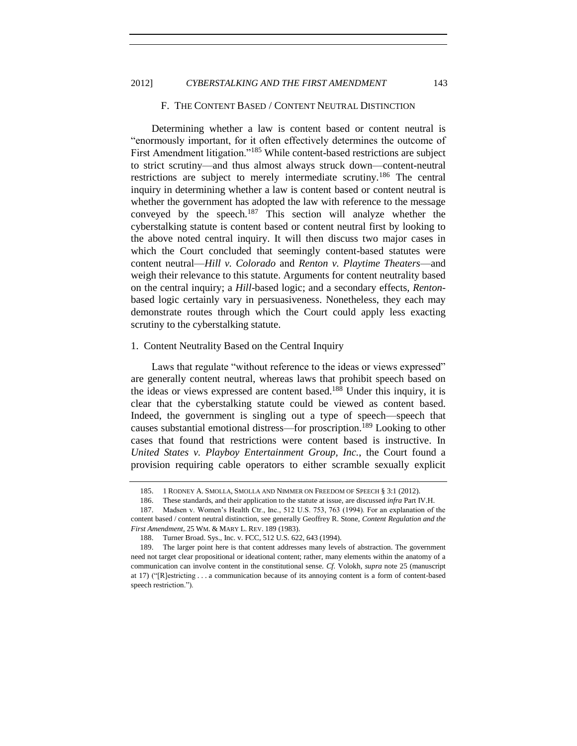## <span id="page-26-0"></span>2012] *CYBERSTALKING AND THE FIRST AMENDMENT* 143

## F. THE CONTENT BASED / CONTENT NEUTRAL DISTINCTION

Determining whether a law is content based or content neutral is "enormously important, for it often effectively determines the outcome of First Amendment litigation."<sup>185</sup> While content-based restrictions are subject to strict scrutiny—and thus almost always struck down—content-neutral restrictions are subject to merely intermediate scrutiny.<sup>186</sup> The central inquiry in determining whether a law is content based or content neutral is whether the government has adopted the law with reference to the message conveyed by the speech.<sup>187</sup> This section will analyze whether the cyberstalking statute is content based or content neutral first by looking to the above noted central inquiry. It will then discuss two major cases in which the Court concluded that seemingly content-based statutes were content neutral—*Hill v. Colorado* and *Renton v. Playtime Theaters*—and weigh their relevance to this statute. Arguments for content neutrality based on the central inquiry; a *Hill*-based logic; and a secondary effects, *Renton*based logic certainly vary in persuasiveness. Nonetheless, they each may demonstrate routes through which the Court could apply less exacting scrutiny to the cyberstalking statute.

## <span id="page-26-1"></span>1. Content Neutrality Based on the Central Inquiry

Laws that regulate "without reference to the ideas or views expressed" are generally content neutral, whereas laws that prohibit speech based on the ideas or views expressed are content based.<sup>188</sup> Under this inquiry, it is clear that the cyberstalking statute could be viewed as content based. Indeed, the government is singling out a type of speech—speech that causes substantial emotional distress—for proscription.<sup>189</sup> Looking to other cases that found that restrictions were content based is instructive. In *United States v. Playboy Entertainment Group, Inc.*, the Court found a provision requiring cable operators to either scramble sexually explicit

<sup>185.</sup> 1 RODNEY A. SMOLLA, SMOLLA AND NIMMER ON FREEDOM OF SPEECH § 3:1 (2012).

<sup>186.</sup> These standards, and their application to the statute at issue, are discussed *infra* Part IV.H.

<sup>187.</sup> Madsen v. Women's Health Ctr., Inc., 512 U.S. 753, 763 (1994). For an explanation of the content based / content neutral distinction, see generally Geoffrey R. Stone, *Content Regulation and the First Amendment*, 25 WM. & MARY L. REV. 189 (1983).

<sup>188.</sup> Turner Broad. Sys., Inc. v. FCC, 512 U.S. 622, 643 (1994).

<sup>189.</sup> The larger point here is that content addresses many levels of abstraction. The government need not target clear propositional or ideational content; rather, many elements within the anatomy of a communication can involve content in the constitutional sense. *Cf.* Volokh, *supra* note [25](#page-3-1) (manuscript at 17) ("[R]estricting . . . a communication because of its annoying content is a form of content-based speech restriction.").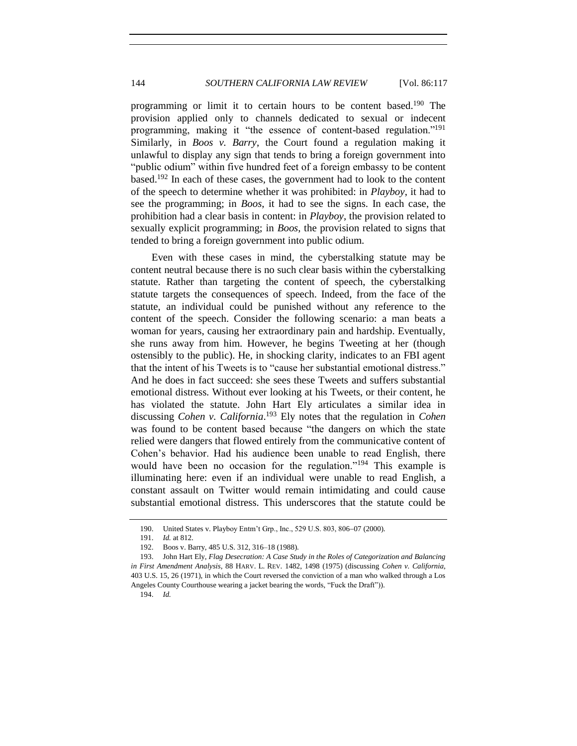programming or limit it to certain hours to be content based.<sup>190</sup> The provision applied only to channels dedicated to sexual or indecent programming, making it "the essence of content-based regulation."<sup>191</sup> Similarly, in *Boos v. Barry*, the Court found a regulation making it unlawful to display any sign that tends to bring a foreign government into "public odium" within five hundred feet of a foreign embassy to be content based.<sup>192</sup> In each of these cases, the government had to look to the content of the speech to determine whether it was prohibited: in *Playboy*, it had to see the programming; in *Boos*, it had to see the signs. In each case, the prohibition had a clear basis in content: in *Playboy*, the provision related to sexually explicit programming; in *Boos*, the provision related to signs that tended to bring a foreign government into public odium.

Even with these cases in mind, the cyberstalking statute may be content neutral because there is no such clear basis within the cyberstalking statute. Rather than targeting the content of speech, the cyberstalking statute targets the consequences of speech. Indeed, from the face of the statute, an individual could be punished without any reference to the content of the speech. Consider the following scenario: a man beats a woman for years, causing her extraordinary pain and hardship. Eventually, she runs away from him. However, he begins Tweeting at her (though ostensibly to the public). He, in shocking clarity, indicates to an FBI agent that the intent of his Tweets is to "cause her substantial emotional distress." And he does in fact succeed: she sees these Tweets and suffers substantial emotional distress. Without ever looking at his Tweets, or their content, he has violated the statute. John Hart Ely articulates a similar idea in discussing *Cohen v. California*. <sup>193</sup> Ely notes that the regulation in *Cohen* was found to be content based because "the dangers on which the state relied were dangers that flowed entirely from the communicative content of Cohen's behavior. Had his audience been unable to read English, there would have been no occasion for the regulation."<sup>194</sup> This example is illuminating here: even if an individual were unable to read English, a constant assault on Twitter would remain intimidating and could cause substantial emotional distress. This underscores that the statute could be

194. *Id.*

<sup>190.</sup> United States v. Playboy Entm't Grp., Inc., 529 U.S. 803, 806-07 (2000).

<sup>191.</sup> *Id.* at 812.

<sup>192.</sup> Boos v. Barry, 485 U.S. 312, 316–18 (1988).

<sup>193.</sup> John Hart Ely, *Flag Desecration: A Case Study in the Roles of Categorization and Balancing in First Amendment Analysis*, 88 HARV. L. REV. 1482, 1498 (1975) (discussing *Cohen v. California*, 403 U.S. 15, 26 (1971), in which the Court reversed the conviction of a man who walked through a Los Angeles County Courthouse wearing a jacket bearing the words, "Fuck the Draft")).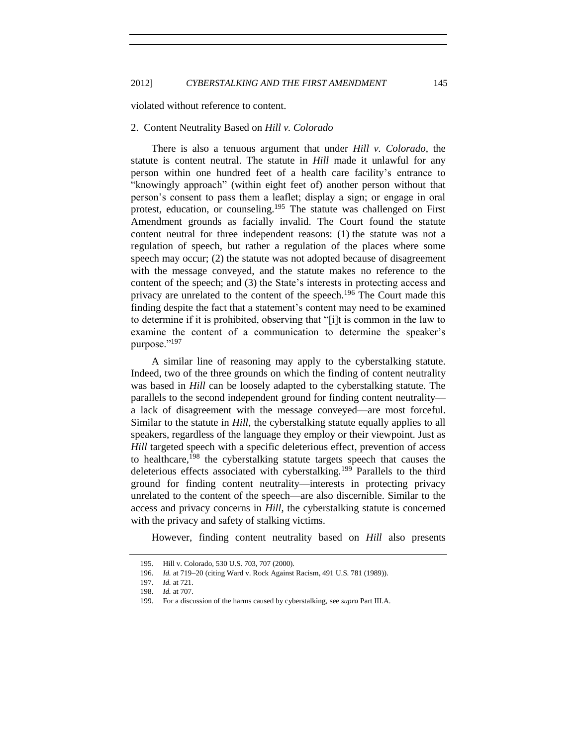<span id="page-28-0"></span>violated without reference to content.

#### 2. Content Neutrality Based on *Hill v. Colorado*

There is also a tenuous argument that under *Hill v. Colorado*, the statute is content neutral. The statute in *Hill* made it unlawful for any person within one hundred feet of a health care facility's entrance to "knowingly approach" (within eight feet of) another person without that person's consent to pass them a leaflet; display a sign; or engage in oral protest, education, or counseling.<sup>195</sup> The statute was challenged on First Amendment grounds as facially invalid. The Court found the statute content neutral for three independent reasons: (1) the statute was not a regulation of speech, but rather a regulation of the places where some speech may occur; (2) the statute was not adopted because of disagreement with the message conveyed, and the statute makes no reference to the content of the speech; and (3) the State's interests in protecting access and privacy are unrelated to the content of the speech.<sup>196</sup> The Court made this finding despite the fact that a statement's content may need to be examined to determine if it is prohibited, observing that "[i]t is common in the law to examine the content of a communication to determine the speaker's purpose."<sup>197</sup>

<span id="page-28-1"></span>A similar line of reasoning may apply to the cyberstalking statute. Indeed, two of the three grounds on which the finding of content neutrality was based in *Hill* can be loosely adapted to the cyberstalking statute. The parallels to the second independent ground for finding content neutrality a lack of disagreement with the message conveyed—are most forceful. Similar to the statute in *Hill*, the cyberstalking statute equally applies to all speakers, regardless of the language they employ or their viewpoint. Just as *Hill* targeted speech with a specific deleterious effect, prevention of access to healthcare, $198$  the cyberstalking statute targets speech that causes the deleterious effects associated with cyberstalking.<sup>199</sup> Parallels to the third ground for finding content neutrality—interests in protecting privacy unrelated to the content of the speech—are also discernible. Similar to the access and privacy concerns in *Hill*, the cyberstalking statute is concerned with the privacy and safety of stalking victims.

<span id="page-28-2"></span>However, finding content neutrality based on *Hill* also presents

<sup>195.</sup> Hill v. Colorado, 530 U.S. 703, 707 (2000).

<sup>196.</sup> *Id.* at 719-20 (citing Ward v. Rock Against Racism, 491 U.S. 781 (1989)).

<sup>197.</sup> *Id.* at 721.

<sup>198.</sup> *Id.* at 707.

<sup>199.</sup> For a discussion of the harms caused by cyberstalking, see *supra* Part III.A.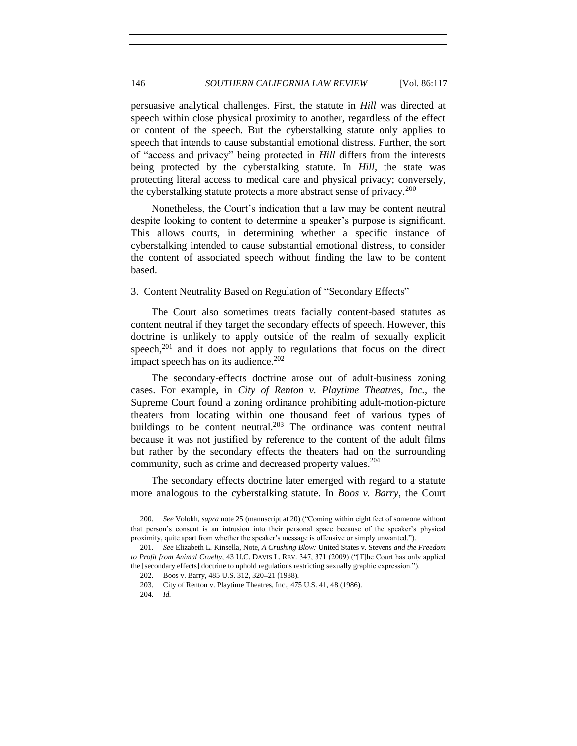persuasive analytical challenges. First, the statute in *Hill* was directed at speech within close physical proximity to another, regardless of the effect or content of the speech. But the cyberstalking statute only applies to speech that intends to cause substantial emotional distress. Further, the sort of "access and privacy" being protected in *Hill* differs from the interests being protected by the cyberstalking statute. In *Hill*, the state was protecting literal access to medical care and physical privacy; conversely, the cyberstalking statute protects a more abstract sense of privacy.<sup>200</sup>

Nonetheless, the Court's indication that a law may be content neutral despite looking to content to determine a speaker's purpose is significant. This allows courts, in determining whether a specific instance of cyberstalking intended to cause substantial emotional distress, to consider the content of associated speech without finding the law to be content based.

#### <span id="page-29-0"></span>3. Content Neutrality Based on Regulation of "Secondary Effects"

The Court also sometimes treats facially content-based statutes as content neutral if they target the secondary effects of speech. However, this doctrine is unlikely to apply outside of the realm of sexually explicit speech, $201$  and it does not apply to regulations that focus on the direct impact speech has on its audience. $202$ 

The secondary-effects doctrine arose out of adult-business zoning cases. For example, in *City of Renton v. Playtime Theatres, Inc.*, the Supreme Court found a zoning ordinance prohibiting adult-motion-picture theaters from locating within one thousand feet of various types of buildings to be content neutral.<sup>203</sup> The ordinance was content neutral because it was not justified by reference to the content of the adult films but rather by the secondary effects the theaters had on the surrounding community, such as crime and decreased property values.<sup>204</sup>

The secondary effects doctrine later emerged with regard to a statute more analogous to the cyberstalking statute. In *Boos v. Barry*, the Court

<sup>200.</sup> *See* Volokh, *supra* not[e 25](#page-3-1) (manuscript at 20) ("Coming within eight feet of someone without that person's consent is an intrusion into their personal space because of the speaker's physical proximity, quite apart from whether the speaker's message is offensive or simply unwanted.").

<sup>201.</sup> *See* Elizabeth L. Kinsella, Note, *A Crushing Blow:* United States v. Stevens *and the Freedom to Profit from Animal Cruelty*, 43 U.C. DAVIS L. REV. 347, 371 (2009) ("[T]he Court has only applied the [secondary effects] doctrine to uphold regulations restricting sexually graphic expression.").

<sup>202.</sup> Boos v. Barry, 485 U.S. 312, 320-21 (1988).

<sup>203.</sup> City of Renton v. Playtime Theatres, Inc., 475 U.S. 41, 48 (1986).

<sup>204.</sup> *Id.*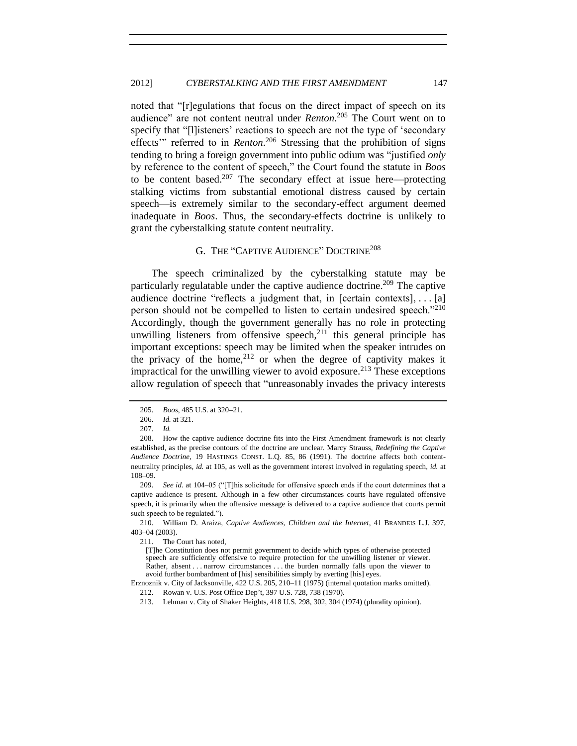noted that "[r]egulations that focus on the direct impact of speech on its audience" are not content neutral under *Renton*. <sup>205</sup> The Court went on to specify that "[l]isteners' reactions to speech are not the type of 'secondary effects" referred to in *Renton*.<sup>206</sup> Stressing that the prohibition of signs tending to bring a foreign government into public odium was "justified *only* by reference to the content of speech," the Court found the statute in *Boos* to be content based.<sup>207</sup> The secondary effect at issue here—protecting stalking victims from substantial emotional distress caused by certain speech—is extremely similar to the secondary-effect argument deemed inadequate in *Boos*. Thus, the secondary-effects doctrine is unlikely to grant the cyberstalking statute content neutrality.

## G. THE "CAPTIVE AUDIENCE" DOCTRINE<sup>208</sup>

<span id="page-30-0"></span>The speech criminalized by the cyberstalking statute may be particularly regulatable under the captive audience doctrine.<sup>209</sup> The captive audience doctrine "reflects a judgment that, in [certain contexts], . . . [a] person should not be compelled to listen to certain undesired speech."<sup>210</sup> Accordingly, though the government generally has no role in protecting unwilling listeners from offensive speech, $^{211}$  this general principle has important exceptions: speech may be limited when the speaker intrudes on the privacy of the home,  $2^{12}$  or when the degree of captivity makes it impractical for the unwilling viewer to avoid exposure.<sup>213</sup> These exceptions allow regulation of speech that "unreasonably invades the privacy interests

<span id="page-30-2"></span><span id="page-30-1"></span>

<sup>205.</sup> *Boos*, 485 U.S. at 320-21.

<sup>206.</sup> *Id.* at 321.

<sup>207.</sup> *Id.*

<sup>208.</sup> How the captive audience doctrine fits into the First Amendment framework is not clearly established, as the precise contours of the doctrine are unclear. Marcy Strauss, *Redefining the Captive Audience Doctrine*, 19 HASTINGS CONST. L.Q. 85, 86 (1991). The doctrine affects both contentneutrality principles, *id.* at 105, as well as the government interest involved in regulating speech, *id.* at 108–09.

<sup>209.</sup> *See id.* at 104–05 ("[T]his solicitude for offensive speech ends if the court determines that a captive audience is present. Although in a few other circumstances courts have regulated offensive speech, it is primarily when the offensive message is delivered to a captive audience that courts permit such speech to be regulated.").

<sup>210.</sup> William D. Araiza, *Captive Audiences, Children and the Internet*, 41 BRANDEIS L.J. 397, 403–04 (2003).

<sup>211.</sup> The Court has noted,

<sup>[</sup>T]he Constitution does not permit government to decide which types of otherwise protected speech are sufficiently offensive to require protection for the unwilling listener or viewer. Rather, absent . . . narrow circumstances . . . the burden normally falls upon the viewer to avoid further bombardment of [his] sensibilities simply by averting [his] eyes.

Erznoznik v. City of Jacksonville, 422 U.S. 205, 210–11 (1975) (internal quotation marks omitted).

<sup>212.</sup> Rowan v. U.S. Post Office Dep't, 397 U.S. 728, 738 (1970).

<sup>213.</sup> Lehman v. City of Shaker Heights, 418 U.S. 298, 302, 304 (1974) (plurality opinion).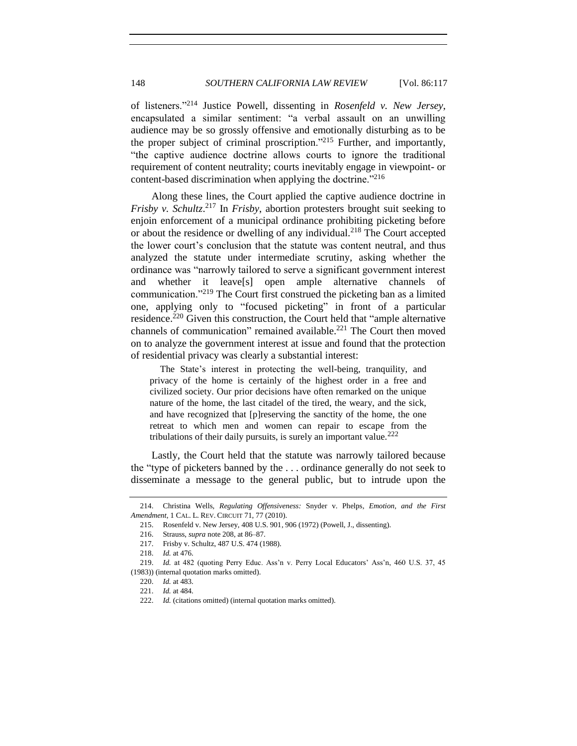of listeners."<sup>214</sup> Justice Powell, dissenting in *Rosenfeld v. New Jersey*, encapsulated a similar sentiment: "a verbal assault on an unwilling audience may be so grossly offensive and emotionally disturbing as to be the proper subject of criminal proscription."<sup>215</sup> Further, and importantly, "the captive audience doctrine allows courts to ignore the traditional requirement of content neutrality; courts inevitably engage in viewpoint- or content-based discrimination when applying the doctrine."<sup>216</sup>

Along these lines, the Court applied the captive audience doctrine in *Frisby v. Schultz*. <sup>217</sup> In *Frisby*, abortion protesters brought suit seeking to enjoin enforcement of a municipal ordinance prohibiting picketing before or about the residence or dwelling of any individual.<sup>218</sup> The Court accepted the lower court's conclusion that the statute was content neutral, and thus analyzed the statute under intermediate scrutiny, asking whether the ordinance was "narrowly tailored to serve a significant government interest and whether it leave[s] open ample alternative channels of communication."<sup>219</sup> The Court first construed the picketing ban as a limited one, applying only to "focused picketing" in front of a particular residence.<sup>220</sup> Given this construction, the Court held that "ample alternative channels of communication" remained available.<sup>221</sup> The Court then moved on to analyze the government interest at issue and found that the protection of residential privacy was clearly a substantial interest:

The State's interest in protecting the well-being, tranquility, and privacy of the home is certainly of the highest order in a free and civilized society. Our prior decisions have often remarked on the unique nature of the home, the last citadel of the tired, the weary, and the sick, and have recognized that [p]reserving the sanctity of the home, the one retreat to which men and women can repair to escape from the tribulations of their daily pursuits, is surely an important value.<sup>222</sup>

Lastly, the Court held that the statute was narrowly tailored because the "type of picketers banned by the . . . ordinance generally do not seek to disseminate a message to the general public, but to intrude upon the

<sup>214.</sup> Christina Wells, *Regulating Offensiveness:* Snyder v. Phelps*, Emotion, and the First Amendment*, 1 CAL. L. REV. CIRCUIT 71, 77 (2010).

<sup>215.</sup> Rosenfeld v. New Jersey, 408 U.S. 901, 906 (1972) (Powell, J., dissenting).

<sup>216.</sup> Strauss, *supra* not[e 208,](#page-30-1) at 86–87.

<sup>217.</sup> Frisby v. Schultz, 487 U.S. 474 (1988).

<sup>218.</sup> *Id.* at 476.

<sup>219.</sup> *Id.* at 482 (quoting Perry Educ. Ass'n v. Perry Local Educators' Ass'n, 460 U.S. 37, 45 (1983)) (internal quotation marks omitted).

<sup>220.</sup> *Id.* at 483.

<sup>221.</sup> *Id.* at 484.

<sup>222.</sup> *Id.* (citations omitted) (internal quotation marks omitted).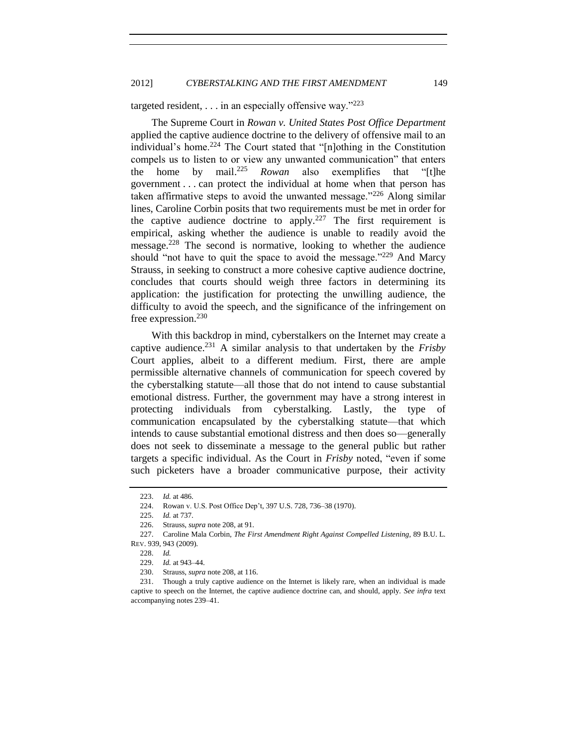## targeted resident,  $\ldots$  in an especially offensive way."<sup>223</sup>

The Supreme Court in *Rowan v. United States Post Office Department* applied the captive audience doctrine to the delivery of offensive mail to an individual's home.<sup>224</sup> The Court stated that "[n]othing in the Constitution compels us to listen to or view any unwanted communication" that enters the home by mail. <sup>225</sup> *Rowan* also exemplifies that "[t]he government . . . can protect the individual at home when that person has taken affirmative steps to avoid the unwanted message."<sup>226</sup> Along similar lines, Caroline Corbin posits that two requirements must be met in order for the captive audience doctrine to apply.<sup>227</sup> The first requirement is empirical, asking whether the audience is unable to readily avoid the message.<sup>228</sup> The second is normative, looking to whether the audience should "not have to quit the space to avoid the message." $^{229}$  And Marcy Strauss, in seeking to construct a more cohesive captive audience doctrine, concludes that courts should weigh three factors in determining its application: the justification for protecting the unwilling audience, the difficulty to avoid the speech, and the significance of the infringement on free expression.<sup>230</sup>

With this backdrop in mind, cyberstalkers on the Internet may create a captive audience.<sup>231</sup> A similar analysis to that undertaken by the *Frisby* Court applies, albeit to a different medium. First, there are ample permissible alternative channels of communication for speech covered by the cyberstalking statute—all those that do not intend to cause substantial emotional distress. Further, the government may have a strong interest in protecting individuals from cyberstalking. Lastly, the type of communication encapsulated by the cyberstalking statute—that which intends to cause substantial emotional distress and then does so—generally does not seek to disseminate a message to the general public but rather targets a specific individual. As the Court in *Frisby* noted, "even if some such picketers have a broader communicative purpose, their activity

<sup>223.</sup> *Id.* at 486.

<sup>224.</sup> Rowan v. U.S. Post Office Dep't, 397 U.S. 728, 736–38 (1970).

<sup>225.</sup> *Id.* at 737.

<sup>226.</sup> Strauss, *supra* not[e 208,](#page-30-1) at 91.

<sup>227.</sup> Caroline Mala Corbin, *The First Amendment Right Against Compelled Listening*, 89 B.U. L. REV. 939, 943 (2009).

<sup>228.</sup> *Id.*

<sup>229.</sup> *Id.* at 943–44.

<sup>230.</sup> Strauss, *supra* not[e 208,](#page-30-1) at 116.

<sup>231.</sup> Though a truly captive audience on the Internet is likely rare, when an individual is made captive to speech on the Internet, the captive audience doctrine can, and should, apply. *See infra* text accompanying note[s 239](#page-34-0)[–41.](#page-34-1)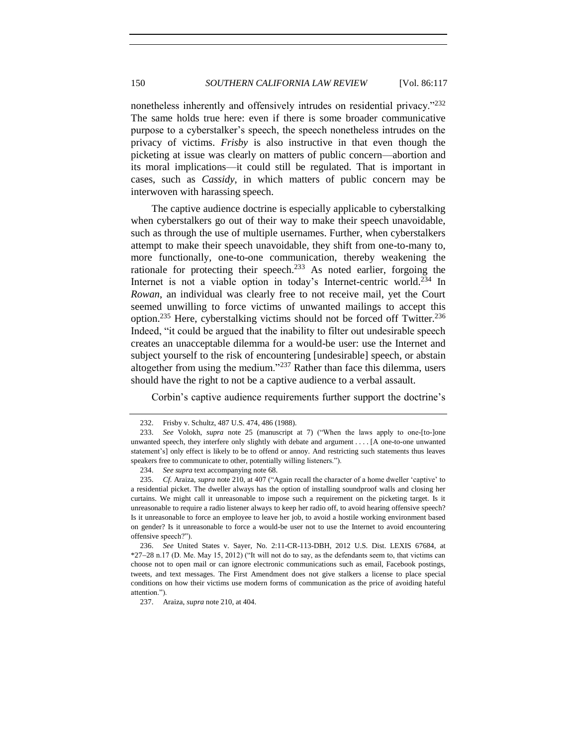nonetheless inherently and offensively intrudes on residential privacy."232 The same holds true here: even if there is some broader communicative purpose to a cyberstalker's speech, the speech nonetheless intrudes on the privacy of victims. *Frisby* is also instructive in that even though the picketing at issue was clearly on matters of public concern—abortion and its moral implications—it could still be regulated. That is important in cases, such as *Cassidy*, in which matters of public concern may be interwoven with harassing speech.

The captive audience doctrine is especially applicable to cyberstalking when cyberstalkers go out of their way to make their speech unavoidable, such as through the use of multiple usernames. Further, when cyberstalkers attempt to make their speech unavoidable, they shift from one-to-many to, more functionally, one-to-one communication, thereby weakening the rationale for protecting their speech.<sup>233</sup> As noted earlier, forgoing the Internet is not a viable option in today's Internet-centric world.<sup>234</sup> In *Rowan*, an individual was clearly free to not receive mail, yet the Court seemed unwilling to force victims of unwanted mailings to accept this option.<sup>235</sup> Here, cyberstalking victims should not be forced off Twitter.<sup>236</sup> Indeed, "it could be argued that the inability to filter out undesirable speech creates an unacceptable dilemma for a would-be user: use the Internet and subject yourself to the risk of encountering [undesirable] speech, or abstain altogether from using the medium."<sup>237</sup> Rather than face this dilemma, users should have the right to not be a captive audience to a verbal assault.

Corbin's captive audience requirements further support the doctrine's

<sup>232.</sup> Frisby v. Schultz, 487 U.S. 474, 486 (1988).

<sup>233.</sup> *See* Volokh, *supra* note [25](#page-3-1) (manuscript at 7) ("When the laws apply to one-[to-]one unwanted speech, they interfere only slightly with debate and argument . . . . [A one-to-one unwanted statement's] only effect is likely to be to offend or annoy. And restricting such statements thus leaves speakers free to communicate to other, potentially willing listeners.").

<sup>234.</sup> *See supra* text accompanying not[e 68.](#page-10-1)

<sup>235.</sup> *Cf.* Araiza, *supra* not[e 210,](#page-30-2) at 407 ("Again recall the character of a home dweller 'captive' to a residential picket. The dweller always has the option of installing soundproof walls and closing her curtains. We might call it unreasonable to impose such a requirement on the picketing target. Is it unreasonable to require a radio listener always to keep her radio off, to avoid hearing offensive speech? Is it unreasonable to force an employee to leave her job, to avoid a hostile working environment based on gender? Is it unreasonable to force a would-be user not to use the Internet to avoid encountering offensive speech?").

<sup>236.</sup> *See* United States v. Sayer, No. 2:11-CR-113-DBH, 2012 U.S. Dist. LEXIS 67684, at \*27 28 n.17 (D. Me. May 15, 2012) ("It will not do to say, as the defendants seem to, that victims can choose not to open mail or can ignore electronic communications such as email, Facebook postings, tweets, and text messages. The First Amendment does not give stalkers a license to place special conditions on how their victims use modern forms of communication as the price of avoiding hateful attention.").

<sup>237.</sup> Araiza, *supra* not[e 210,](#page-30-2) at 404.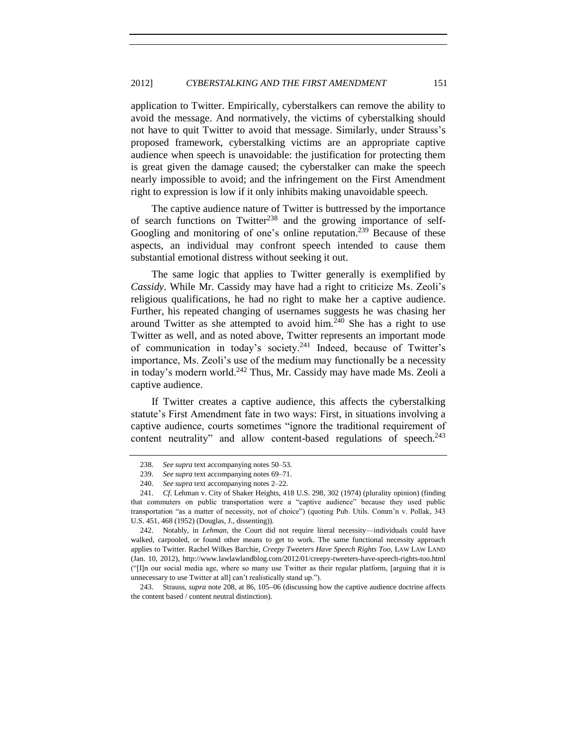application to Twitter. Empirically, cyberstalkers can remove the ability to avoid the message. And normatively, the victims of cyberstalking should not have to quit Twitter to avoid that message. Similarly, under Strauss's proposed framework, cyberstalking victims are an appropriate captive audience when speech is unavoidable: the justification for protecting them is great given the damage caused; the cyberstalker can make the speech nearly impossible to avoid; and the infringement on the First Amendment right to expression is low if it only inhibits making unavoidable speech.

The captive audience nature of Twitter is buttressed by the importance of search functions on Twitter<sup>238</sup> and the growing importance of self-Googling and monitoring of one's online reputation.<sup>239</sup> Because of these aspects, an individual may confront speech intended to cause them substantial emotional distress without seeking it out.

The same logic that applies to Twitter generally is exemplified by *Cassidy*. While Mr. Cassidy may have had a right to criticize Ms. Zeoli's religious qualifications, he had no right to make her a captive audience. Further, his repeated changing of usernames suggests he was chasing her around Twitter as she attempted to avoid him.<sup>240</sup> She has a right to use Twitter as well, and as noted above, Twitter represents an important mode of communication in today's society.<sup>241</sup> Indeed, because of Twitter's importance, Ms. Zeoli's use of the medium may functionally be a necessity in today's modern world.<sup>242</sup> Thus, Mr. Cassidy may have made Ms. Zeoli a captive audience.

<span id="page-34-1"></span>If Twitter creates a captive audience, this affects the cyberstalking statute's First Amendment fate in two ways: First, in situations involving a captive audience, courts sometimes "ignore the traditional requirement of content neutrality" and allow content-based regulations of speech.<sup>243</sup>

<span id="page-34-0"></span>

<sup>238.</sup> *See supra* text accompanying notes [50–](#page-8-4)[53.](#page-8-5)

<sup>239.</sup> *See supra* text accompanying notes [69–](#page-10-2)[71.](#page-10-3)

<sup>240.</sup> *See supra* text accompanying notes [2–](#page-1-1)[22.](#page-3-2)

<sup>241.</sup> *Cf*. Lehman v. City of Shaker Heights, 418 U.S. 298, 302 (1974) (plurality opinion) (finding that commuters on public transportation were a "captive audience" because they used public transportation "as a matter of necessity, not of choice") (quoting Pub. Utils. Comm'n v. Pollak, 343 U.S. 451, 468 (1952) (Douglas, J., dissenting)).

<sup>242.</sup> Notably, in *Lehman*, the Court did not require literal necessity—individuals could have walked, carpooled, or found other means to get to work. The same functional necessity approach applies to Twitter. Rachel Wilkes Barchie, *Creepy Tweeters Have Speech Rights Too*, LAW LAW LAND (Jan. 10, 2012), http://www.lawlawlandblog.com/2012/01/creepy-tweeters-have-speech-rights-too.html ("[I]n our social media age, where so many use Twitter as their regular platform, [arguing that it is unnecessary to use Twitter at all] can't realistically stand up.").

<sup>243.</sup> Strauss, *supra* note [208,](#page-30-1) at 86, 105–06 (discussing how the captive audience doctrine affects the content based / content neutral distinction).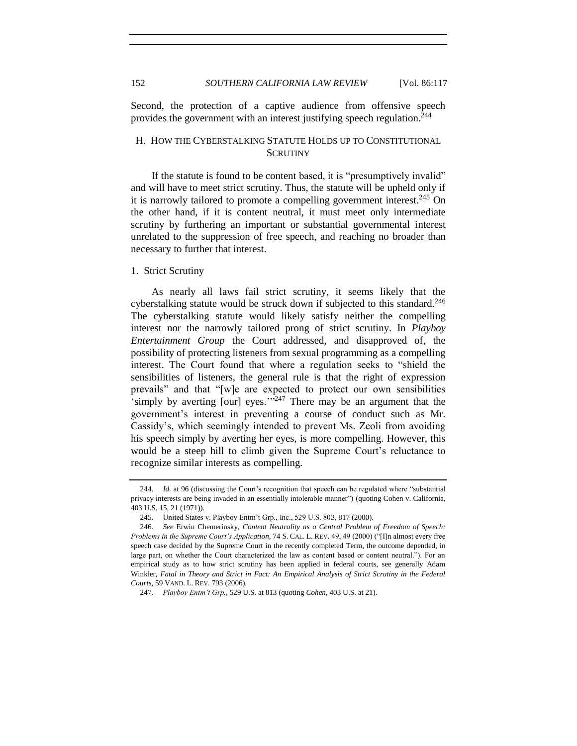Second, the protection of a captive audience from offensive speech provides the government with an interest justifying speech regulation.<sup>244</sup>

## <span id="page-35-0"></span>H. HOW THE CYBERSTALKING STATUTE HOLDS UP TO CONSTITUTIONAL **SCRUTINY**

If the statute is found to be content based, it is "presumptively invalid" and will have to meet strict scrutiny. Thus, the statute will be upheld only if it is narrowly tailored to promote a compelling government interest.<sup>245</sup> On the other hand, if it is content neutral, it must meet only intermediate scrutiny by furthering an important or substantial governmental interest unrelated to the suppression of free speech, and reaching no broader than necessary to further that interest.

#### <span id="page-35-1"></span>1. Strict Scrutiny

<span id="page-35-2"></span>As nearly all laws fail strict scrutiny, it seems likely that the cyberstalking statute would be struck down if subjected to this standard.<sup>246</sup> The cyberstalking statute would likely satisfy neither the compelling interest nor the narrowly tailored prong of strict scrutiny. In *Playboy Entertainment Group* the Court addressed, and disapproved of, the possibility of protecting listeners from sexual programming as a compelling interest. The Court found that where a regulation seeks to "shield the sensibilities of listeners, the general rule is that the right of expression prevails" and that "[w]e are expected to protect our own sensibilities 'simply by averting [our] eyes.'" <sup>247</sup> There may be an argument that the government's interest in preventing a course of conduct such as Mr. Cassidy's, which seemingly intended to prevent Ms. Zeoli from avoiding his speech simply by averting her eyes, is more compelling. However, this would be a steep hill to climb given the Supreme Court's reluctance to recognize similar interests as compelling.

<span id="page-35-3"></span><sup>244.</sup> *Id.* at 96 (discussing the Court's recognition that speech can be regulated where "substantial privacy interests are being invaded in an essentially intolerable manner") (quoting Cohen v. California, 403 U.S. 15, 21 (1971)).

<sup>245.</sup> United States v. Playboy Entm't Grp., Inc., 529 U.S. 803, 817 (2000).

<sup>246.</sup> *See* Erwin Chemerinsky, *Content Neutrality as a Central Problem of Freedom of Speech: Problems in the Supreme Court's Application*, 74 S. CAL. L. REV. 49, 49 (2000) ("[I]n almost every free speech case decided by the Supreme Court in the recently completed Term, the outcome depended, in large part, on whether the Court characterized the law as content based or content neutral."). For an empirical study as to how strict scrutiny has been applied in federal courts, see generally Adam Winkler, *Fatal in Theory and Strict in Fact: An Empirical Analysis of Strict Scrutiny in the Federal Courts*, 59 VAND. L. REV. 793 (2006).

<sup>247.</sup> *Playboy Entm't Grp.*, 529 U.S. at 813 (quoting *Cohen*, 403 U.S. at 21).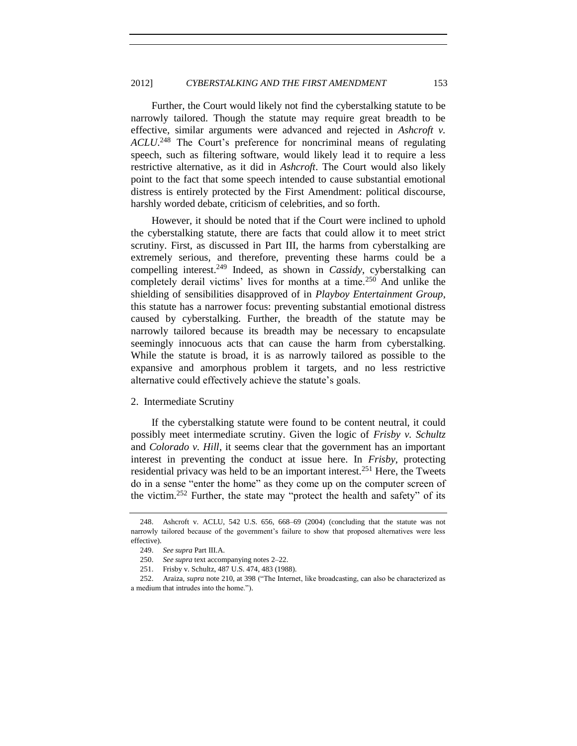Further, the Court would likely not find the cyberstalking statute to be narrowly tailored. Though the statute may require great breadth to be effective, similar arguments were advanced and rejected in *Ashcroft v. ACLU*. <sup>248</sup> The Court's preference for noncriminal means of regulating speech, such as filtering software, would likely lead it to require a less restrictive alternative, as it did in *Ashcroft*. The Court would also likely point to the fact that some speech intended to cause substantial emotional distress is entirely protected by the First Amendment: political discourse, harshly worded debate, criticism of celebrities, and so forth.

However, it should be noted that if the Court were inclined to uphold the cyberstalking statute, there are facts that could allow it to meet strict scrutiny. First, as discussed in Part III, the harms from cyberstalking are extremely serious, and therefore, preventing these harms could be a compelling interest. <sup>249</sup> Indeed, as shown in *Cassidy*, cyberstalking can completely derail victims' lives for months at a time.<sup>250</sup> And unlike the shielding of sensibilities disapproved of in *Playboy Entertainment Group*, this statute has a narrower focus: preventing substantial emotional distress caused by cyberstalking. Further, the breadth of the statute may be narrowly tailored because its breadth may be necessary to encapsulate seemingly innocuous acts that can cause the harm from cyberstalking. While the statute is broad, it is as narrowly tailored as possible to the expansive and amorphous problem it targets, and no less restrictive alternative could effectively achieve the statute's goals.

#### <span id="page-36-0"></span>2. Intermediate Scrutiny

If the cyberstalking statute were found to be content neutral, it could possibly meet intermediate scrutiny. Given the logic of *Frisby v. Schultz* and *Colorado v. Hill*, it seems clear that the government has an important interest in preventing the conduct at issue here. In *Frisby*, protecting residential privacy was held to be an important interest.<sup>251</sup> Here, the Tweets do in a sense "enter the home" as they come up on the computer screen of the victim.<sup>252</sup> Further, the state may "protect the health and safety" of its

<sup>248.</sup> Ashcroft v. ACLU, 542 U.S. 656, 668–69 (2004) (concluding that the statute was not narrowly tailored because of the government's failure to show that proposed alternatives were less effective).

<sup>249.</sup> *See supra* Part III.A.

<sup>250.</sup> *See supra* text accompanying notes [2–](#page-1-1)[22.](#page-3-2)

<sup>251.</sup> Frisby v. Schultz, 487 U.S. 474, 483 (1988).

<sup>252.</sup> Araiza, *supra* note [210,](#page-30-2) at 398 ("The Internet, like broadcasting, can also be characterized as a medium that intrudes into the home.").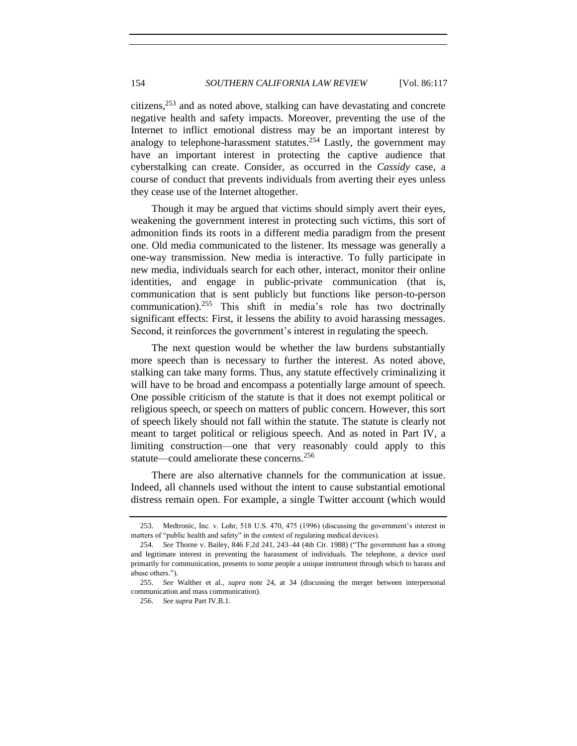citizens,<sup>253</sup> and as noted above, stalking can have devastating and concrete negative health and safety impacts. Moreover, preventing the use of the Internet to inflict emotional distress may be an important interest by analogy to telephone-harassment statutes.<sup>254</sup> Lastly, the government may have an important interest in protecting the captive audience that cyberstalking can create. Consider, as occurred in the *Cassidy* case, a course of conduct that prevents individuals from averting their eyes unless they cease use of the Internet altogether.

Though it may be argued that victims should simply avert their eyes, weakening the government interest in protecting such victims, this sort of admonition finds its roots in a different media paradigm from the present one. Old media communicated to the listener. Its message was generally a one-way transmission. New media is interactive. To fully participate in new media, individuals search for each other, interact, monitor their online identities, and engage in public-private communication (that is, communication that is sent publicly but functions like person-to-person communication).<sup>255</sup> This shift in media's role has two doctrinally significant effects: First, it lessens the ability to avoid harassing messages. Second, it reinforces the government's interest in regulating the speech.

The next question would be whether the law burdens substantially more speech than is necessary to further the interest. As noted above, stalking can take many forms. Thus, any statute effectively criminalizing it will have to be broad and encompass a potentially large amount of speech. One possible criticism of the statute is that it does not exempt political or religious speech, or speech on matters of public concern. However, this sort of speech likely should not fall within the statute. The statute is clearly not meant to target political or religious speech. And as noted in Part IV, a limiting construction—one that very reasonably could apply to this statute—could ameliorate these concerns.<sup>256</sup>

There are also alternative channels for the communication at issue. Indeed, all channels used without the intent to cause substantial emotional distress remain open. For example, a single Twitter account (which would

256. *See supra* Part IV.B.1.

<sup>253.</sup> Medtronic, Inc. v. Lohr, 518 U.S. 470, 475 (1996) (discussing the government's interest in matters of "public health and safety" in the context of regulating medical devices).

<sup>254.</sup> *See* Thorne v. Bailey, 846 F.2d 241, 243–44 (4th Cir. 1988) ("The government has a strong and legitimate interest in preventing the harassment of individuals. The telephone, a device used primarily for communication, presents to some people a unique instrument through which to harass and abuse others.").

<sup>255.</sup> *See* Walther et al., *supra* note [24,](#page-3-0) at 34 (discussing the merger between interpersonal communication and mass communication).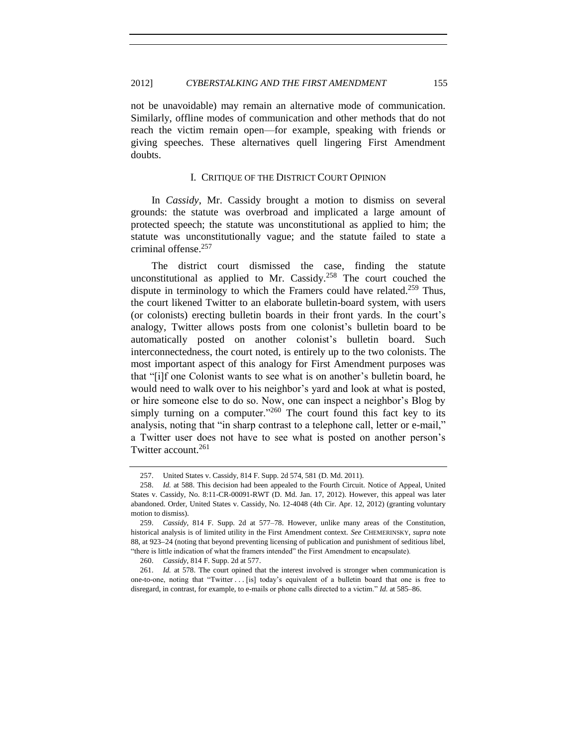not be unavoidable) may remain an alternative mode of communication. Similarly, offline modes of communication and other methods that do not reach the victim remain open—for example, speaking with friends or giving speeches. These alternatives quell lingering First Amendment doubts.

## I. CRITIQUE OF THE DISTRICT COURT OPINION

<span id="page-38-0"></span>In *Cassidy*, Mr. Cassidy brought a motion to dismiss on several grounds: the statute was overbroad and implicated a large amount of protected speech; the statute was unconstitutional as applied to him; the statute was unconstitutionally vague; and the statute failed to state a criminal offense.<sup>257</sup>

The district court dismissed the case, finding the statute unconstitutional as applied to Mr. Cassidy.<sup>258</sup> The court couched the dispute in terminology to which the Framers could have related.<sup>259</sup> Thus, the court likened Twitter to an elaborate bulletin-board system, with users (or colonists) erecting bulletin boards in their front yards. In the court's analogy, Twitter allows posts from one colonist's bulletin board to be automatically posted on another colonist's bulletin board. Such interconnectedness, the court noted, is entirely up to the two colonists. The most important aspect of this analogy for First Amendment purposes was that "[i]f one Colonist wants to see what is on another's bulletin board, he would need to walk over to his neighbor's yard and look at what is posted, or hire someone else to do so. Now, one can inspect a neighbor's Blog by simply turning on a computer."<sup>260</sup> The court found this fact key to its analysis, noting that "in sharp contrast to a telephone call, letter or e-mail," a Twitter user does not have to see what is posted on another person's Twitter account.<sup>261</sup>

<sup>257.</sup> United States v. Cassidy, 814 F. Supp. 2d 574, 581 (D. Md. 2011).

<sup>258.</sup> *Id.* at 588. This decision had been appealed to the Fourth Circuit. Notice of Appeal, United States v. Cassidy, No. 8:11-CR-00091-RWT (D. Md. Jan. 17, 2012). However, this appeal was later abandoned. Order, United States v. Cassidy, No. 12-4048 (4th Cir. Apr. 12, 2012) (granting voluntary motion to dismiss).

<sup>259.</sup> *Cassidy*, 814 F. Supp. 2d at 577–78. However, unlike many areas of the Constitution, historical analysis is of limited utility in the First Amendment context. *See* CHEMERINSKY, *supra* note [88,](#page-13-1) at 923–24 (noting that beyond preventing licensing of publication and punishment of seditious libel, "there is little indication of what the framers intended" the First Amendment to encapsulate).

<sup>260.</sup> *Cassidy*, 814 F. Supp. 2d at 577.

<sup>261.</sup> *Id.* at 578. The court opined that the interest involved is stronger when communication is one-to-one, noting that "Twitter . . . [is] today's equivalent of a bulletin board that one is free to disregard, in contrast, for example, to e-mails or phone calls directed to a victim." *Id.* at 585–86.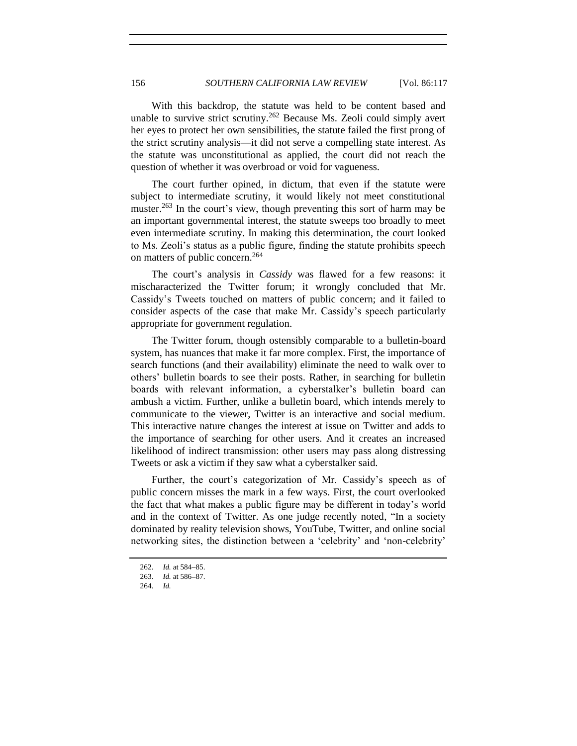With this backdrop, the statute was held to be content based and unable to survive strict scrutiny.<sup>262</sup> Because Ms. Zeoli could simply avert her eyes to protect her own sensibilities, the statute failed the first prong of the strict scrutiny analysis—it did not serve a compelling state interest. As the statute was unconstitutional as applied, the court did not reach the question of whether it was overbroad or void for vagueness.

The court further opined, in dictum, that even if the statute were subject to intermediate scrutiny, it would likely not meet constitutional muster.<sup>263</sup> In the court's view, though preventing this sort of harm may be an important governmental interest, the statute sweeps too broadly to meet even intermediate scrutiny. In making this determination, the court looked to Ms. Zeoli's status as a public figure, finding the statute prohibits speech on matters of public concern.<sup>264</sup>

The court's analysis in *Cassidy* was flawed for a few reasons: it mischaracterized the Twitter forum; it wrongly concluded that Mr. Cassidy's Tweets touched on matters of public concern; and it failed to consider aspects of the case that make Mr. Cassidy's speech particularly appropriate for government regulation.

The Twitter forum, though ostensibly comparable to a bulletin-board system, has nuances that make it far more complex. First, the importance of search functions (and their availability) eliminate the need to walk over to others' bulletin boards to see their posts. Rather, in searching for bulletin boards with relevant information, a cyberstalker's bulletin board can ambush a victim. Further, unlike a bulletin board, which intends merely to communicate to the viewer, Twitter is an interactive and social medium. This interactive nature changes the interest at issue on Twitter and adds to the importance of searching for other users. And it creates an increased likelihood of indirect transmission: other users may pass along distressing Tweets or ask a victim if they saw what a cyberstalker said.

Further, the court's categorization of Mr. Cassidy's speech as of public concern misses the mark in a few ways. First, the court overlooked the fact that what makes a public figure may be different in today's world and in the context of Twitter. As one judge recently noted, "In a society dominated by reality television shows, YouTube, Twitter, and online social networking sites, the distinction between a 'celebrity' and 'non-celebrity'

<sup>262.</sup> *Id.* at 584–85.

<sup>263.</sup> *Id.* at 586-87.

<sup>264.</sup> *Id.*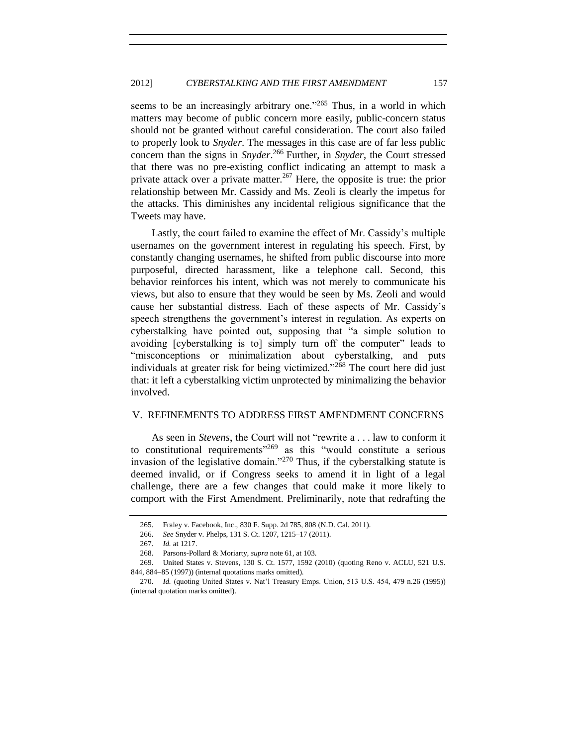seems to be an increasingly arbitrary one."<sup>265</sup> Thus, in a world in which matters may become of public concern more easily, public-concern status should not be granted without careful consideration. The court also failed to properly look to *Snyder*. The messages in this case are of far less public concern than the signs in *Snyder*. <sup>266</sup> Further, in *Snyder*, the Court stressed that there was no pre-existing conflict indicating an attempt to mask a private attack over a private matter.<sup>267</sup> Here, the opposite is true: the prior relationship between Mr. Cassidy and Ms. Zeoli is clearly the impetus for the attacks. This diminishes any incidental religious significance that the Tweets may have.

Lastly, the court failed to examine the effect of Mr. Cassidy's multiple usernames on the government interest in regulating his speech. First, by constantly changing usernames, he shifted from public discourse into more purposeful, directed harassment, like a telephone call. Second, this behavior reinforces his intent, which was not merely to communicate his views, but also to ensure that they would be seen by Ms. Zeoli and would cause her substantial distress. Each of these aspects of Mr. Cassidy's speech strengthens the government's interest in regulation. As experts on cyberstalking have pointed out, supposing that "a simple solution to avoiding [cyberstalking is to] simply turn off the computer" leads to "misconceptions or minimalization about cyberstalking, and puts individuals at greater risk for being victimized."<sup>268</sup> The court here did just that: it left a cyberstalking victim unprotected by minimalizing the behavior involved.

#### <span id="page-40-0"></span>V. REFINEMENTS TO ADDRESS FIRST AMENDMENT CONCERNS

As seen in *Stevens*, the Court will not "rewrite a . . . law to conform it to constitutional requirements<sup> $269$ </sup> as this "would constitute a serious invasion of the legislative domain."<sup>270</sup> Thus, if the cyberstalking statute is deemed invalid, or if Congress seeks to amend it in light of a legal challenge, there are a few changes that could make it more likely to comport with the First Amendment. Preliminarily, note that redrafting the

<sup>265.</sup> Fraley v. Facebook, Inc., 830 F. Supp. 2d 785, 808 (N.D. Cal. 2011).

<sup>266.</sup> *See* Snyder v. Phelps, 131 S. Ct. 1207, 1215–17 (2011).

<sup>267.</sup> *Id.* at 1217.

<sup>268.</sup> Parsons-Pollard & Moriarty, *supra* note [61,](#page-9-1) at 103.

<sup>269.</sup> United States v. Stevens, 130 S. Ct. 1577, 1592 (2010) (quoting Reno v. ACLU, 521 U.S. 844, 884–85 (1997)) (internal quotations marks omitted).

<sup>270.</sup> *Id.* (quoting United States v. Nat'l Treasury Emps. Union, 513 U.S. 454, 479 n.26 (1995)) (internal quotation marks omitted).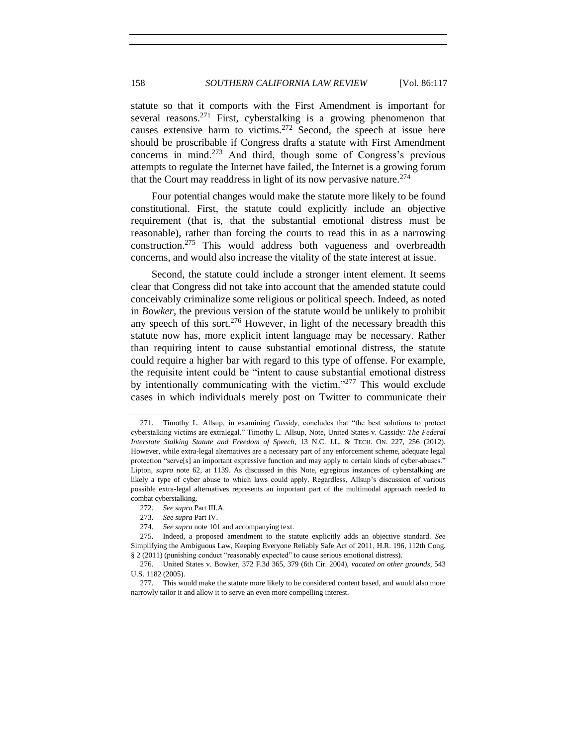statute so that it comports with the First Amendment is important for several reasons.<sup>271</sup> First, cyberstalking is a growing phenomenon that causes extensive harm to victims.<sup>272</sup> Second, the speech at issue here should be proscribable if Congress drafts a statute with First Amendment concerns in mind.<sup>273</sup> And third, though some of Congress's previous attempts to regulate the Internet have failed, the Internet is a growing forum that the Court may readdress in light of its now pervasive nature.<sup>274</sup>

Four potential changes would make the statute more likely to be found constitutional. First, the statute could explicitly include an objective requirement (that is, that the substantial emotional distress must be reasonable), rather than forcing the courts to read this in as a narrowing construction.<sup>275</sup> This would address both vagueness and overbreadth concerns, and would also increase the vitality of the state interest at issue.

Second, the statute could include a stronger intent element. It seems clear that Congress did not take into account that the amended statute could conceivably criminalize some religious or political speech. Indeed, as noted in *Bowker*, the previous version of the statute would be unlikely to prohibit any speech of this sort.<sup>276</sup> However, in light of the necessary breadth this statute now has, more explicit intent language may be necessary. Rather than requiring intent to cause substantial emotional distress, the statute could require a higher bar with regard to this type of offense. For example, the requisite intent could be "intent to cause substantial emotional distress by intentionally communicating with the victim."<sup>277</sup> This would exclude cases in which individuals merely post on Twitter to communicate their

<sup>271.</sup> Timothy L. Allsup, in examining *Cassidy*, concludes that "the best solutions to protect cyberstalking victims are extralegal." Timothy L. Allsup, Note, United States v. Cassidy*: The Federal Interstate Stalking Statute and Freedom of Speech*, 13 N.C. J.L. & TECH. ON. 227, 256 (2012). However, while extra-legal alternatives are a necessary part of any enforcement scheme, adequate legal protection "serve[s] an important expressive function and may apply to certain kinds of cyber-abuses." Lipton, *supra* note [62,](#page-9-0) at 1139. As discussed in this Note, egregious instances of cyberstalking are likely a type of cyber abuse to which laws could apply. Regardless, Allsup's discussion of various possible extra-legal alternatives represents an important part of the multimodal approach needed to combat cyberstalking.

<sup>272.</sup> *See supra* Part III.A.

<sup>273.</sup> *See supra* Part IV.

<sup>274.</sup> *See supra* not[e 101](#page-14-0) and accompanying text.

<sup>275.</sup> Indeed, a proposed amendment to the statute explicitly adds an objective standard. *See* Simplifying the Ambiguous Law, Keeping Everyone Reliably Safe Act of 2011, H.R. 196, 112th Cong. § 2 (2011) (punishing conduct "reasonably expected" to cause serious emotional distress).

<sup>276.</sup> United States v. Bowker, 372 F.3d 365, 379 (6th Cir. 2004), *vacated on other grounds*, 543 U.S. 1182 (2005).

<sup>277.</sup> This would make the statute more likely to be considered content based, and would also more narrowly tailor it and allow it to serve an even more compelling interest.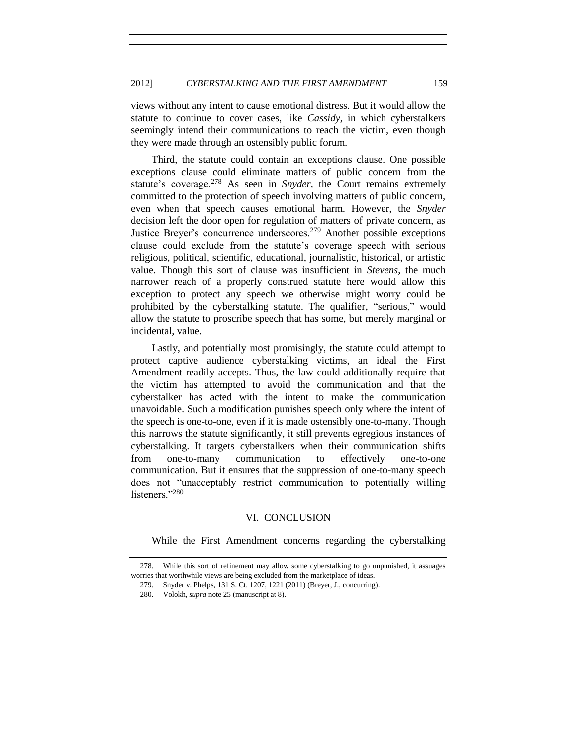views without any intent to cause emotional distress. But it would allow the statute to continue to cover cases, like *Cassidy*, in which cyberstalkers seemingly intend their communications to reach the victim, even though they were made through an ostensibly public forum.

Third, the statute could contain an exceptions clause. One possible exceptions clause could eliminate matters of public concern from the statute's coverage.<sup>278</sup> As seen in *Snyder*, the Court remains extremely committed to the protection of speech involving matters of public concern, even when that speech causes emotional harm. However, the *Snyder* decision left the door open for regulation of matters of private concern, as Justice Breyer's concurrence underscores.<sup>279</sup> Another possible exceptions clause could exclude from the statute's coverage speech with serious religious, political, scientific, educational, journalistic, historical, or artistic value. Though this sort of clause was insufficient in *Stevens*, the much narrower reach of a properly construed statute here would allow this exception to protect any speech we otherwise might worry could be prohibited by the cyberstalking statute. The qualifier, "serious," would allow the statute to proscribe speech that has some, but merely marginal or incidental, value.

Lastly, and potentially most promisingly, the statute could attempt to protect captive audience cyberstalking victims, an ideal the First Amendment readily accepts. Thus, the law could additionally require that the victim has attempted to avoid the communication and that the cyberstalker has acted with the intent to make the communication unavoidable. Such a modification punishes speech only where the intent of the speech is one-to-one, even if it is made ostensibly one-to-many. Though this narrows the statute significantly, it still prevents egregious instances of cyberstalking. It targets cyberstalkers when their communication shifts from one-to-many communication to effectively one-to-one communication. But it ensures that the suppression of one-to-many speech does not "unacceptably restrict communication to potentially willing listeners."<sup>280</sup>

#### VI. CONCLUSION

<span id="page-42-0"></span>While the First Amendment concerns regarding the cyberstalking

<sup>278.</sup> While this sort of refinement may allow some cyberstalking to go unpunished, it assuages worries that worthwhile views are being excluded from the marketplace of ideas.

<sup>279.</sup> Snyder v. Phelps, 131 S. Ct. 1207, 1221 (2011) (Breyer, J., concurring).

<sup>280.</sup> Volokh, *supra* not[e 25](#page-3-1) (manuscript at 8).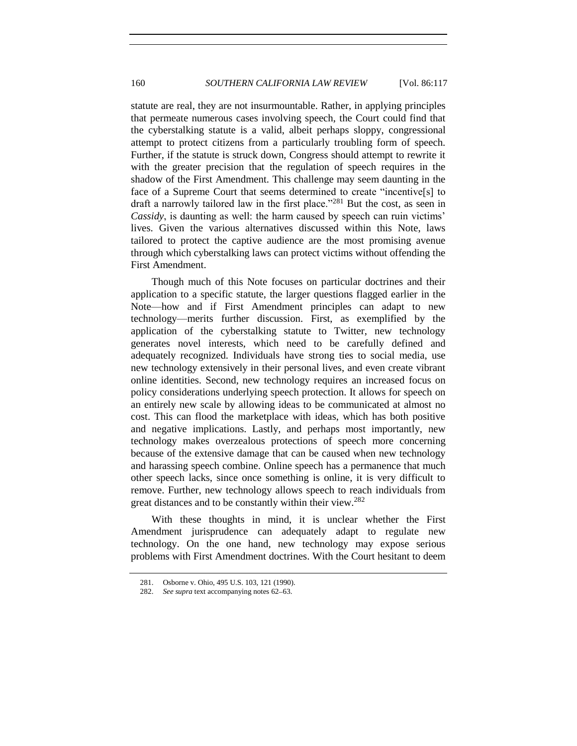statute are real, they are not insurmountable. Rather, in applying principles that permeate numerous cases involving speech, the Court could find that the cyberstalking statute is a valid, albeit perhaps sloppy, congressional attempt to protect citizens from a particularly troubling form of speech. Further, if the statute is struck down, Congress should attempt to rewrite it with the greater precision that the regulation of speech requires in the shadow of the First Amendment. This challenge may seem daunting in the face of a Supreme Court that seems determined to create "incentive[s] to draft a narrowly tailored law in the first place."<sup>281</sup> But the cost, as seen in *Cassidy*, is daunting as well: the harm caused by speech can ruin victims' lives. Given the various alternatives discussed within this Note, laws tailored to protect the captive audience are the most promising avenue through which cyberstalking laws can protect victims without offending the First Amendment.

Though much of this Note focuses on particular doctrines and their application to a specific statute, the larger questions flagged earlier in the Note—how and if First Amendment principles can adapt to new technology—merits further discussion. First, as exemplified by the application of the cyberstalking statute to Twitter, new technology generates novel interests, which need to be carefully defined and adequately recognized. Individuals have strong ties to social media, use new technology extensively in their personal lives, and even create vibrant online identities. Second, new technology requires an increased focus on policy considerations underlying speech protection. It allows for speech on an entirely new scale by allowing ideas to be communicated at almost no cost. This can flood the marketplace with ideas, which has both positive and negative implications. Lastly, and perhaps most importantly, new technology makes overzealous protections of speech more concerning because of the extensive damage that can be caused when new technology and harassing speech combine. Online speech has a permanence that much other speech lacks, since once something is online, it is very difficult to remove. Further, new technology allows speech to reach individuals from great distances and to be constantly within their view.<sup>282</sup>

With these thoughts in mind, it is unclear whether the First Amendment jurisprudence can adequately adapt to regulate new technology. On the one hand, new technology may expose serious problems with First Amendment doctrines. With the Court hesitant to deem

<sup>281.</sup> Osborne v. Ohio, 495 U.S. 103, 121 (1990).

<sup>282.</sup> *See supra* text accompanying notes [62](#page-9-0)-[63.](#page-9-2)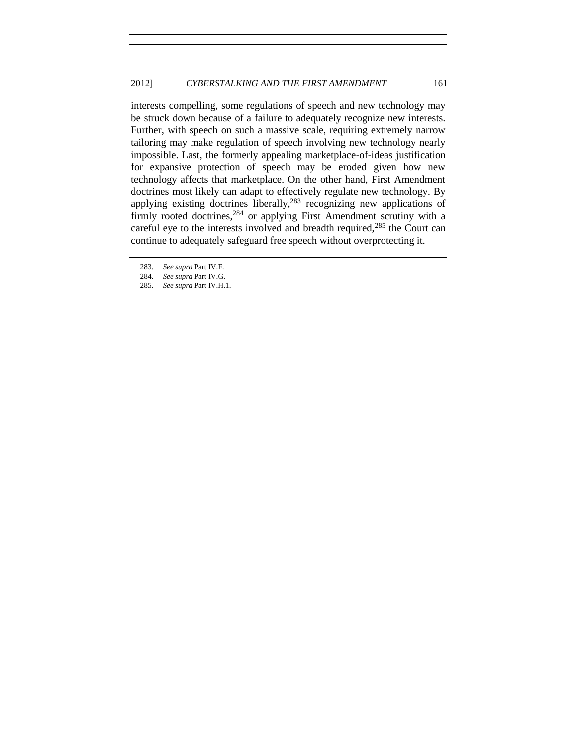interests compelling, some regulations of speech and new technology may be struck down because of a failure to adequately recognize new interests. Further, with speech on such a massive scale, requiring extremely narrow tailoring may make regulation of speech involving new technology nearly impossible. Last, the formerly appealing marketplace-of-ideas justification for expansive protection of speech may be eroded given how new technology affects that marketplace. On the other hand, First Amendment doctrines most likely can adapt to effectively regulate new technology. By applying existing doctrines liberally, $283$  recognizing new applications of firmly rooted doctrines,<sup>284</sup> or applying First Amendment scrutiny with a careful eye to the interests involved and breadth required, $285$  the Court can continue to adequately safeguard free speech without overprotecting it.

<sup>283.</sup> *See supra* Part IV.F.

<sup>284.</sup> *See supra* Part IV.G.

<sup>285.</sup> *See supra* Part IV.H.1.